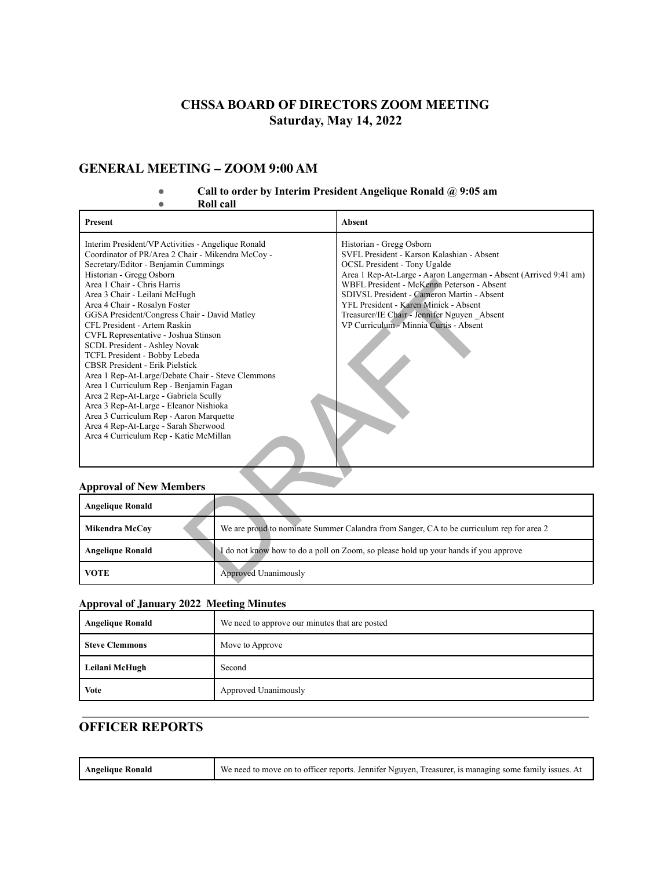# **CHSSA BOARD OF DIRECTORS ZOOM MEETING Saturday, May 14, 2022**

# **GENERAL MEETING – ZOOM 9:00 AM**

#### **● Call to order by Interim President Angelique Ronald @ 9:05 am**

**● Roll call**

| Present                                                                                                                                                                                                                                                                                                                                                                                                                                                                                                                                                                                                                                                                                                                                                                                                                         |                      | <b>Absent</b>                                                                                                                                                                                                                                                                                                                                                                                                    |
|---------------------------------------------------------------------------------------------------------------------------------------------------------------------------------------------------------------------------------------------------------------------------------------------------------------------------------------------------------------------------------------------------------------------------------------------------------------------------------------------------------------------------------------------------------------------------------------------------------------------------------------------------------------------------------------------------------------------------------------------------------------------------------------------------------------------------------|----------------------|------------------------------------------------------------------------------------------------------------------------------------------------------------------------------------------------------------------------------------------------------------------------------------------------------------------------------------------------------------------------------------------------------------------|
| Interim President/VP Activities - Angelique Ronald<br>Coordinator of PR/Area 2 Chair - Mikendra McCoy -<br>Secretary/Editor - Benjamin Cummings<br>Historian - Gregg Osborn<br>Area 1 Chair - Chris Harris<br>Area 3 Chair - Leilani McHugh<br>Area 4 Chair - Rosalyn Foster<br>GGSA President/Congress Chair - David Matley<br>CFL President - Artem Raskin<br>CVFL Representative - Joshua Stinson<br>SCDL President - Ashley Novak<br>TCFL President - Bobby Lebeda<br><b>CBSR</b> President - Erik Pielstick<br>Area 1 Rep-At-Large/Debate Chair - Steve Clemmons<br>Area 1 Curriculum Rep - Benjamin Fagan<br>Area 2 Rep-At-Large - Gabriela Scully<br>Area 3 Rep-At-Large - Eleanor Nishioka<br>Area 3 Curriculum Rep - Aaron Marquette<br>Area 4 Rep-At-Large - Sarah Sherwood<br>Area 4 Curriculum Rep - Katie McMillan |                      | Historian - Gregg Osborn<br>SVFL President - Karson Kalashian - Absent<br><b>OCSL President - Tony Ugalde</b><br>Area 1 Rep-At-Large - Aaron Langerman - Absent (Arrived 9:41 am)<br>WBFL President - McKenna Peterson - Absent<br>SDIVSL President - Cameron Martin - Absent<br>YFL President - Karen Minick - Absent<br>Treasurer/IE Chair - Jennifer Nguyen _Absent<br>VP Curriculum - Minnia Curtis - Absent |
| <b>Approval of New Members</b>                                                                                                                                                                                                                                                                                                                                                                                                                                                                                                                                                                                                                                                                                                                                                                                                  |                      |                                                                                                                                                                                                                                                                                                                                                                                                                  |
| <b>Angelique Ronald</b>                                                                                                                                                                                                                                                                                                                                                                                                                                                                                                                                                                                                                                                                                                                                                                                                         |                      |                                                                                                                                                                                                                                                                                                                                                                                                                  |
| <b>Mikendra McCoy</b>                                                                                                                                                                                                                                                                                                                                                                                                                                                                                                                                                                                                                                                                                                                                                                                                           |                      | We are proud to nominate Summer Calandra from Sanger, CA to be curriculum rep for area 2                                                                                                                                                                                                                                                                                                                         |
| <b>Angelique Ronald</b>                                                                                                                                                                                                                                                                                                                                                                                                                                                                                                                                                                                                                                                                                                                                                                                                         |                      | I do not know how to do a poll on Zoom, so please hold up your hands if you approve                                                                                                                                                                                                                                                                                                                              |
| <b>VOTE</b>                                                                                                                                                                                                                                                                                                                                                                                                                                                                                                                                                                                                                                                                                                                                                                                                                     | Approved Unanimously |                                                                                                                                                                                                                                                                                                                                                                                                                  |

#### **Approval of New Members**

| <b>Angelique Ronald</b> |                                                                                          |
|-------------------------|------------------------------------------------------------------------------------------|
| <b>Mikendra McCoy</b>   | We are proud to nominate Summer Calandra from Sanger, CA to be curriculum rep for area 2 |
| <b>Angelique Ronald</b> | I do not know how to do a poll on Zoom, so please hold up your hands if you approve      |
| <b>VOTE</b>             | Approved Unanimously                                                                     |

#### **Approval of January 2022 Meeting Minutes**

т

| <b>Angelique Ronald</b> | We need to approve our minutes that are posted |
|-------------------------|------------------------------------------------|
| <b>Steve Clemmons</b>   | Move to Approve                                |
| Leilani McHugh          | Second                                         |
| <b>Vote</b>             | Approved Unanimously                           |

# **OFFICER REPORTS**

| <b>Angelique Ronald</b> | We need to move on to officer reports. Jennifer Nguyen, Treasurer, is managing some family issues. At |
|-------------------------|-------------------------------------------------------------------------------------------------------|
|-------------------------|-------------------------------------------------------------------------------------------------------|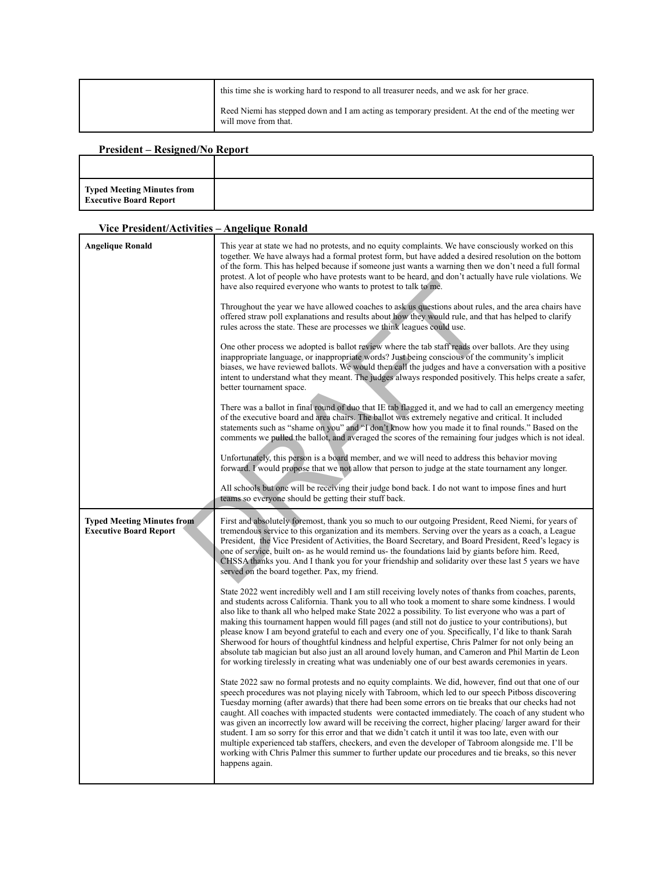| this time she is working hard to respond to all treasurer needs, and we ask for her grace.                                |
|---------------------------------------------------------------------------------------------------------------------------|
| Reed Niemi has stepped down and I am acting as temporary president. At the end of the meeting wer<br>will move from that. |

# **President – Resigned/No Report**

| <b>Typed Meeting Minutes from</b><br><b>Executive Board Report</b> |  |
|--------------------------------------------------------------------|--|

#### **Vice President/Activities – Angelique Ronald**

| <b>Angelique Ronald</b>                                            | This year at state we had no protests, and no equity complaints. We have consciously worked on this<br>together. We have always had a formal protest form, but have added a desired resolution on the bottom<br>of the form. This has helped because if someone just wants a warning then we don't need a full formal<br>protest. A lot of people who have protests want to be heard, and don't actually have rule violations. We<br>have also required everyone who wants to protest to talk to me.<br>Throughout the year we have allowed coaches to ask us questions about rules, and the area chairs have                                                                                                                                                                                                                                           |
|--------------------------------------------------------------------|---------------------------------------------------------------------------------------------------------------------------------------------------------------------------------------------------------------------------------------------------------------------------------------------------------------------------------------------------------------------------------------------------------------------------------------------------------------------------------------------------------------------------------------------------------------------------------------------------------------------------------------------------------------------------------------------------------------------------------------------------------------------------------------------------------------------------------------------------------|
|                                                                    | offered straw poll explanations and results about how they would rule, and that has helped to clarify<br>rules across the state. These are processes we think leagues could use.                                                                                                                                                                                                                                                                                                                                                                                                                                                                                                                                                                                                                                                                        |
|                                                                    | One other process we adopted is ballot review where the tab staff reads over ballots. Are they using<br>inappropriate language, or inappropriate words? Just being conscious of the community's implicit<br>biases, we have reviewed ballots. We would then call the judges and have a conversation with a positive<br>intent to understand what they meant. The judges always responded positively. This helps create a safer,<br>better tournament space.                                                                                                                                                                                                                                                                                                                                                                                             |
|                                                                    | There was a ballot in final round of duo that IE tab flagged it, and we had to call an emergency meeting<br>of the executive board and area chairs. The ballot was extremely negative and critical. It included<br>statements such as "shame on you" and "I don't know how you made it to final rounds." Based on the<br>comments we pulled the ballot, and averaged the scores of the remaining four judges which is not ideal.                                                                                                                                                                                                                                                                                                                                                                                                                        |
|                                                                    | Unfortunately, this person is a board member, and we will need to address this behavior moving<br>forward. I would propose that we not allow that person to judge at the state tournament any longer.                                                                                                                                                                                                                                                                                                                                                                                                                                                                                                                                                                                                                                                   |
|                                                                    | All schools but one will be receiving their judge bond back. I do not want to impose fines and hurt<br>teams so everyone should be getting their stuff back.                                                                                                                                                                                                                                                                                                                                                                                                                                                                                                                                                                                                                                                                                            |
| <b>Typed Meeting Minutes from</b><br><b>Executive Board Report</b> | First and absolutely foremost, thank you so much to our outgoing President, Reed Niemi, for years of<br>tremendous service to this organization and its members. Serving over the years as a coach, a League                                                                                                                                                                                                                                                                                                                                                                                                                                                                                                                                                                                                                                            |
|                                                                    | President, the Vice President of Activities, the Board Secretary, and Board President, Reed's legacy is<br>one of service, built on- as he would remind us- the foundations laid by giants before him. Reed,<br>CHSSA thanks you. And I thank you for your friendship and solidarity over these last 5 years we have<br>served on the board together. Pax, my friend.                                                                                                                                                                                                                                                                                                                                                                                                                                                                                   |
|                                                                    | State 2022 went incredibly well and I am still receiving lovely notes of thanks from coaches, parents,<br>and students across California. Thank you to all who took a moment to share some kindness. I would<br>also like to thank all who helped make State 2022 a possibility. To list everyone who was a part of<br>making this tournament happen would fill pages (and still not do justice to your contributions), but<br>please know I am beyond grateful to each and every one of you. Specifically, I'd like to thank Sarah<br>Sherwood for hours of thoughtful kindness and helpful expertise, Chris Palmer for not only being an<br>absolute tab magician but also just an all around lovely human, and Cameron and Phil Martin de Leon<br>for working tirelessly in creating what was undeniably one of our best awards ceremonies in years. |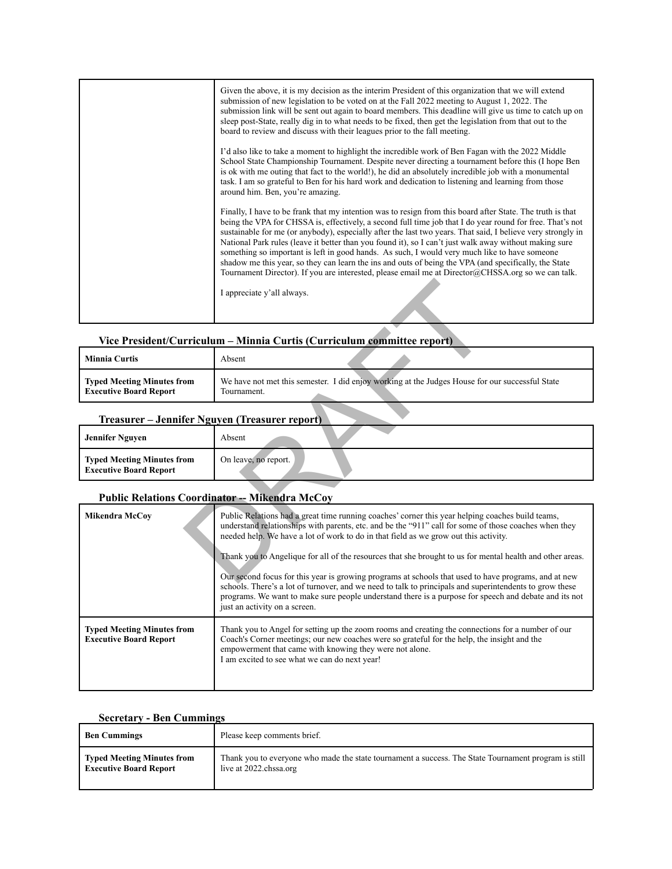| Given the above, it is my decision as the interim President of this organization that we will extend<br>submission of new legislation to be voted on at the Fall 2022 meeting to August 1, 2022. The<br>submission link will be sent out again to board members. This deadline will give us time to catch up on<br>sleep post-State, really dig in to what needs to be fixed, then get the legislation from that out to the<br>board to review and discuss with their leagues prior to the fall meeting.                                                                                                                                                                                                                                                         |
|------------------------------------------------------------------------------------------------------------------------------------------------------------------------------------------------------------------------------------------------------------------------------------------------------------------------------------------------------------------------------------------------------------------------------------------------------------------------------------------------------------------------------------------------------------------------------------------------------------------------------------------------------------------------------------------------------------------------------------------------------------------|
| I'd also like to take a moment to highlight the incredible work of Ben Fagan with the 2022 Middle<br>School State Championship Tournament. Despite never directing a tournament before this (I hope Ben<br>is ok with me outing that fact to the world!), he did an absolutely incredible job with a monumental<br>task. I am so grateful to Ben for his hard work and dedication to listening and learning from those<br>around him. Ben, you're amazing.                                                                                                                                                                                                                                                                                                       |
| Finally, I have to be frank that my intention was to resign from this board after State. The truth is that<br>being the VPA for CHSSA is, effectively, a second full time job that I do year round for free. That's not<br>sustainable for me (or anybody), especially after the last two years. That said, I believe very strongly in<br>National Park rules (leave it better than you found it), so I can't just walk away without making sure<br>something so important is left in good hands. As such, I would very much like to have someone<br>shadow me this year, so they can learn the ins and outs of being the VPA (and specifically, the State<br>Tournament Director). If you are interested, please email me at Director@CHSSA.org so we can talk. |
| I appreciate y'all always.                                                                                                                                                                                                                                                                                                                                                                                                                                                                                                                                                                                                                                                                                                                                       |

# **Vice President/Curriculum – Minnia Curtis (Curriculum committee report)**

| <b>Minnia Curtis</b>              | Absent                                                                                          |
|-----------------------------------|-------------------------------------------------------------------------------------------------|
| <b>Typed Meeting Minutes from</b> | We have not met this semester. I did enjoy working at the Judges House for our successful State |
| <b>Executive Board Report</b>     | Tournament.                                                                                     |

#### **Treasurer – Jennifer Nguyen (Treasurer report)**

| <b>Typed Meeting Minutes from</b><br>On leave, no report.<br><b>Executive Board Report</b> |  |
|--------------------------------------------------------------------------------------------|--|

# **Public Relations Coordinator -- Mikendra McCoy**

|                                                                    | I appreciate y'all always.                                                                                                                                                                                                                                                                                                                                                                                                                                             |  |
|--------------------------------------------------------------------|------------------------------------------------------------------------------------------------------------------------------------------------------------------------------------------------------------------------------------------------------------------------------------------------------------------------------------------------------------------------------------------------------------------------------------------------------------------------|--|
|                                                                    | Vice President/Curriculum - Minnia Curtis (Curriculum committee report)                                                                                                                                                                                                                                                                                                                                                                                                |  |
| <b>Minnia Curtis</b>                                               | Absent                                                                                                                                                                                                                                                                                                                                                                                                                                                                 |  |
| <b>Typed Meeting Minutes from</b><br><b>Executive Board Report</b> | We have not met this semester. I did enjoy working at the Judges House for our successful State<br>Tournament.                                                                                                                                                                                                                                                                                                                                                         |  |
| Treasurer – Jennifer Nguyen (Treasurer report)                     |                                                                                                                                                                                                                                                                                                                                                                                                                                                                        |  |
| <b>Jennifer Nguyen</b>                                             | Absent                                                                                                                                                                                                                                                                                                                                                                                                                                                                 |  |
| <b>Typed Meeting Minutes from</b><br><b>Executive Board Report</b> | On leave, no report.                                                                                                                                                                                                                                                                                                                                                                                                                                                   |  |
| <b>Public Relations Coordinator -- Mikendra McCoy</b>              |                                                                                                                                                                                                                                                                                                                                                                                                                                                                        |  |
| <b>Mikendra McCov</b>                                              | Public Relations had a great time running coaches' corner this year helping coaches build teams,<br>understand relationships with parents, etc. and be the "911" call for some of those coaches when they<br>needed help. We have a lot of work to do in that field as we grow out this activity.                                                                                                                                                                      |  |
|                                                                    | Thank you to Angelique for all of the resources that she brought to us for mental health and other areas.<br>Our second focus for this year is growing programs at schools that used to have programs, and at new<br>schools. There's a lot of turnover, and we need to talk to principals and superintendents to grow these<br>programs. We want to make sure people understand there is a purpose for speech and debate and its not<br>just an activity on a screen. |  |
| <b>Typed Meeting Minutes from</b><br><b>Executive Board Report</b> | Thank you to Angel for setting up the zoom rooms and creating the connections for a number of our<br>Coach's Corner meetings; our new coaches were so grateful for the help, the insight and the<br>empowerment that came with knowing they were not alone.<br>I am excited to see what we can do next year!                                                                                                                                                           |  |

#### **Secretary - Ben Cummings**

| <b>Ben Cummings</b>           | Please keep comments brief.                                                                          |
|-------------------------------|------------------------------------------------------------------------------------------------------|
| Typed Meeting Minutes from    | Thank you to everyone who made the state tournament a success. The State Tournament program is still |
| <b>Executive Board Report</b> | live at 2022.chssa.org                                                                               |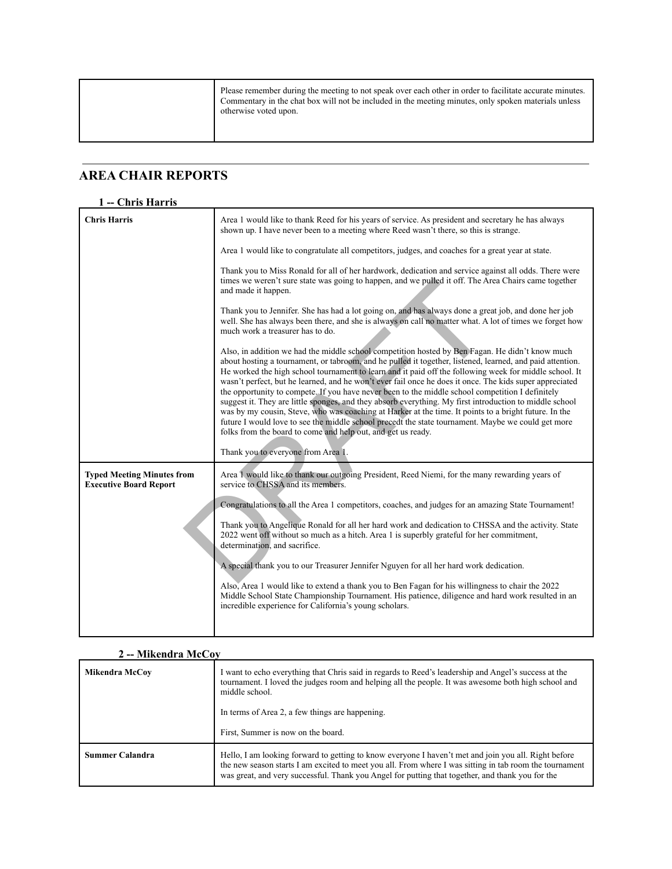|  | Please remember during the meeting to not speak over each other in order to facilitate accurate minutes.<br>Commentary in the chat box will not be included in the meeting minutes, only spoken materials unless<br>otherwise voted upon. |
|--|-------------------------------------------------------------------------------------------------------------------------------------------------------------------------------------------------------------------------------------------|
|--|-------------------------------------------------------------------------------------------------------------------------------------------------------------------------------------------------------------------------------------------|

#### **AREA CHAIR REPORTS**

#### **1 -- Chris Harris Chris Harris** Area 1 would like to thank Reed for his years of service. As president and secretary he has always shown up. I have never been to a meeting where Reed wasn't there, so this is strange. Area 1 would like to congratulate all competitors, judges, and coaches for a great year at state. Thank you to Miss Ronald for all of her hardwork, dedication and service against all odds. There were times we weren't sure state was going to happen, and we pulled it off. The Area Chairs came together and made it happen. Thank you to Jennifer. She has had a lot going on, and has always done a great job, and done her job well. She has always been there, and she is always on call no matter what. A lot of times we forget how much work a treasurer has to do. Also, in addition we had the middle school competition hosted by Ben Fagan. He didn't know much about hosting a tournament, or tabroom, and he pulled it together, listened, learned, and paid attention. He worked the high school tournament to learn and it paid off the following week for middle school. It wasn't perfect, but he learned, and he won't ever fail once he does it once. The kids super appreciated the opportunity to compete. If you have never been to the middle school competition I definitely suggest it. They are little sponges, and they absorb everything. My first introduction to middle school was by my cousin, Steve, who was coaching at Harker at the time. It points to a bright future. In the future I would love to see the middle school precedt the state tournament. Maybe we could get more folks from the board to come and help out, and get us ready. Thank you to everyone from Area 1. **Typed Meeting Minutes from Executive Board Report** Area 1 would like to thank our outgoing President, Reed Niemi, for the many rewarding years of service to CHSSA and its members. Congratulations to all the Area 1 competitors, coaches, and judges for an amazing State Tournament! Thank you to Angelique Ronald for all her hard work and dedication to CHSSA and the activity. State 2022 went off without so much as a hitch. Area 1 is superbly grateful for her commitment, determination, and sacrifice. A special thank you to our Treasurer Jennifer Nguyen for all her hard work dedication. Also, Area 1 would like to extend a thank you to Ben Fagan for his willingness to chair the 2022 Middle School State Championship Tournament. His patience, diligence and hard work resulted in an incredible experience for California's young scholars. times we weren't sure state was going to happen, and we pulled it off. The A<br>
and made it happen.<br>
Thank you to Jennifer. She has had a lot going on, and has always done a gre<br>
well. She has always been there, and she is a

| 2 -- Mikendra McCov    |                                                                                                                                                                                                                                                                                                                     |  |
|------------------------|---------------------------------------------------------------------------------------------------------------------------------------------------------------------------------------------------------------------------------------------------------------------------------------------------------------------|--|
| Mikendra McCov         | I want to echo everything that Chris said in regards to Reed's leadership and Angel's success at the<br>tournament. I loved the judges room and helping all the people. It was awesome both high school and<br>middle school.                                                                                       |  |
|                        | In terms of Area 2, a few things are happening.                                                                                                                                                                                                                                                                     |  |
|                        | First, Summer is now on the board.                                                                                                                                                                                                                                                                                  |  |
| <b>Summer Calandra</b> | Hello, I am looking forward to getting to know everyone I haven't met and join you all. Right before<br>the new season starts I am excited to meet you all. From where I was sitting in tab room the tournament<br>was great, and very successful. Thank you Angel for putting that together, and thank you for the |  |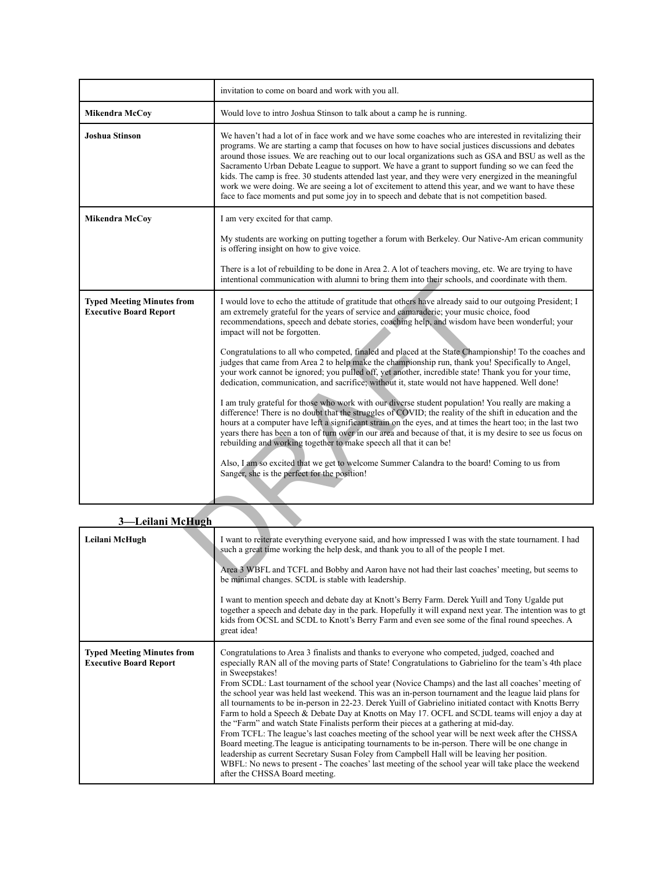|                                                                    | invitation to come on board and work with you all.                                                                                                                                                                                                                                                                                                                                                                                                                                                                                                                                                                                                                                                                                                                                                                                                                                                                                                                                                                                                                                                                                                                                                                                                                                                                                                                                                                                       |  |
|--------------------------------------------------------------------|------------------------------------------------------------------------------------------------------------------------------------------------------------------------------------------------------------------------------------------------------------------------------------------------------------------------------------------------------------------------------------------------------------------------------------------------------------------------------------------------------------------------------------------------------------------------------------------------------------------------------------------------------------------------------------------------------------------------------------------------------------------------------------------------------------------------------------------------------------------------------------------------------------------------------------------------------------------------------------------------------------------------------------------------------------------------------------------------------------------------------------------------------------------------------------------------------------------------------------------------------------------------------------------------------------------------------------------------------------------------------------------------------------------------------------------|--|
| <b>Mikendra McCoy</b>                                              | Would love to intro Joshua Stinson to talk about a camp he is running.                                                                                                                                                                                                                                                                                                                                                                                                                                                                                                                                                                                                                                                                                                                                                                                                                                                                                                                                                                                                                                                                                                                                                                                                                                                                                                                                                                   |  |
| <b>Joshua Stinson</b>                                              | We haven't had a lot of in face work and we have some coaches who are interested in revitalizing their<br>programs. We are starting a camp that focuses on how to have social justices discussions and debates<br>around those issues. We are reaching out to our local organizations such as GSA and BSU as well as the<br>Sacramento Urban Debate League to support. We have a grant to support funding so we can feed the<br>kids. The camp is free. 30 students attended last year, and they were very energized in the meaningful<br>work we were doing. We are seeing a lot of excitement to attend this year, and we want to have these<br>face to face moments and put some joy in to speech and debate that is not competition based.                                                                                                                                                                                                                                                                                                                                                                                                                                                                                                                                                                                                                                                                                           |  |
| Mikendra McCoy                                                     | I am very excited for that camp.                                                                                                                                                                                                                                                                                                                                                                                                                                                                                                                                                                                                                                                                                                                                                                                                                                                                                                                                                                                                                                                                                                                                                                                                                                                                                                                                                                                                         |  |
|                                                                    | My students are working on putting together a forum with Berkeley. Our Native-Am erican community<br>is offering insight on how to give voice.                                                                                                                                                                                                                                                                                                                                                                                                                                                                                                                                                                                                                                                                                                                                                                                                                                                                                                                                                                                                                                                                                                                                                                                                                                                                                           |  |
|                                                                    | There is a lot of rebuilding to be done in Area 2. A lot of teachers moving, etc. We are trying to have<br>intentional communication with alumni to bring them into their schools, and coordinate with them.                                                                                                                                                                                                                                                                                                                                                                                                                                                                                                                                                                                                                                                                                                                                                                                                                                                                                                                                                                                                                                                                                                                                                                                                                             |  |
| <b>Typed Meeting Minutes from</b><br><b>Executive Board Report</b> | I would love to echo the attitude of gratitude that others have already said to our outgoing President; I<br>am extremely grateful for the years of service and camaraderie; your music choice, food<br>recommendations, speech and debate stories, coaching help, and wisdom have been wonderful; your<br>impact will not be forgotten.<br>Congratulations to all who competed, finaled and placed at the State Championship! To the coaches and<br>judges that came from Area 2 to help make the championship run, thank you! Specifically to Angel,<br>your work cannot be ignored; you pulled off, yet another, incredible state! Thank you for your time,<br>dedication, communication, and sacrifice; without it, state would not have happened. Well done!<br>I am truly grateful for those who work with our diverse student population! You really are making a<br>difference! There is no doubt that the struggles of COVID; the reality of the shift in education and the<br>hours at a computer have left a significant strain on the eyes, and at times the heart too; in the last two<br>years there has been a ton of turn over in our area and because of that, it is my desire to see us focus on<br>rebuilding and working together to make speech all that it can be!<br>Also, I am so excited that we get to welcome Summer Calandra to the board! Coming to us from<br>Sanger, she is the perfect for the position! |  |
|                                                                    |                                                                                                                                                                                                                                                                                                                                                                                                                                                                                                                                                                                                                                                                                                                                                                                                                                                                                                                                                                                                                                                                                                                                                                                                                                                                                                                                                                                                                                          |  |
| 3-Leilani McHugh                                                   |                                                                                                                                                                                                                                                                                                                                                                                                                                                                                                                                                                                                                                                                                                                                                                                                                                                                                                                                                                                                                                                                                                                                                                                                                                                                                                                                                                                                                                          |  |
| Leilani McHugh                                                     | I want to reiterate everything everyone said, and how impressed I was with the state tournament. I had<br>such a great time working the help desk, and thank you to all of the people I met.                                                                                                                                                                                                                                                                                                                                                                                                                                                                                                                                                                                                                                                                                                                                                                                                                                                                                                                                                                                                                                                                                                                                                                                                                                             |  |
|                                                                    | Area 3 WBFL and TCFL and Bobby and Aaron have not had their last coaches' meeting, but seems to<br>be minimal changes. SCDL is stable with leadership.                                                                                                                                                                                                                                                                                                                                                                                                                                                                                                                                                                                                                                                                                                                                                                                                                                                                                                                                                                                                                                                                                                                                                                                                                                                                                   |  |

#### **3—Leilani McHugh**

| Leilani McHugh                                                     | I want to reiterate everything everyone said, and how impressed I was with the state tournament. I had<br>such a great time working the help desk, and thank you to all of the people I met.<br>Area 3 WBFL and TCFL and Bobby and Aaron have not had their last coaches' meeting, but seems to<br>be minimal changes. SCDL is stable with leadership.<br>I want to mention speech and debate day at Knott's Berry Farm. Derek Yuill and Tony Ugalde put<br>together a speech and debate day in the park. Hopefully it will expand next year. The intention was to gt<br>kids from OCSL and SCDL to Knott's Berry Farm and even see some of the final round speeches. A<br>great idea!                                                                                                                                                                                                                                                                                                                                                                                                                                                                                                              |
|--------------------------------------------------------------------|-----------------------------------------------------------------------------------------------------------------------------------------------------------------------------------------------------------------------------------------------------------------------------------------------------------------------------------------------------------------------------------------------------------------------------------------------------------------------------------------------------------------------------------------------------------------------------------------------------------------------------------------------------------------------------------------------------------------------------------------------------------------------------------------------------------------------------------------------------------------------------------------------------------------------------------------------------------------------------------------------------------------------------------------------------------------------------------------------------------------------------------------------------------------------------------------------------|
| <b>Typed Meeting Minutes from</b><br><b>Executive Board Report</b> | Congratulations to Area 3 finalists and thanks to everyone who competed, judged, coached and<br>especially RAN all of the moving parts of State! Congratulations to Gabrielino for the team's 4th place<br>in Sweepstakes!<br>From SCDL: Last tournament of the school year (Novice Champs) and the last all coaches' meeting of<br>the school year was held last weekend. This was an in-person tournament and the league laid plans for<br>all tournaments to be in-person in 22-23. Derek Yuill of Gabrielino initiated contact with Knotts Berry<br>Farm to hold a Speech & Debate Day at Knotts on May 17. OCFL and SCDL teams will enjoy a day at<br>the "Farm" and watch State Finalists perform their pieces at a gathering at mid-day.<br>From TCFL: The league's last coaches meeting of the school year will be next week after the CHSSA<br>Board meeting. The league is anticipating tournaments to be in-person. There will be one change in<br>leadership as current Secretary Susan Foley from Campbell Hall will be leaving her position.<br>WBFL: No news to present - The coaches' last meeting of the school year will take place the weekend<br>after the CHSSA Board meeting. |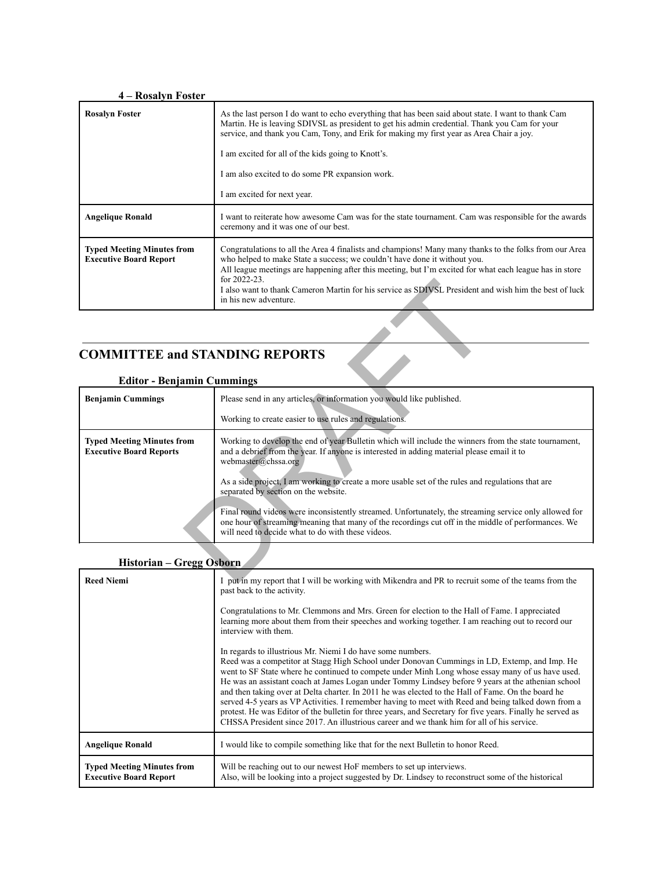#### **4 – Rosalyn Foster Rosalyn Foster** As the last person I do want to echo everything that has been said about state. I want to thank Cam Martin. He is leaving SDIVSL as president to get his admin credential. Thank you Cam for your service, and thank you Cam, Tony, and Erik for making my first year as Area Chair a joy. I am excited for all of the kids going to Knott's. I am also excited to do some PR expansion work. I am excited for next year. **Angelique Ronald** I want to reiterate how awesome Cam was for the state tournament. Cam was responsible for the awards ceremony and it was one of our best. **Typed Meeting Minutes from Executive Board Report** Congratulations to all the Area 4 finalists and champions! Many many thanks to the folks from our Area who helped to make State a success; we couldn't have done it without you. All league meetings are happening after this meeting, but I'm excited for what each league has in store for 2022-23. I also want to thank Cameron Martin for his service as SDIVSL President and wish him the best of luck in his new adventure.

# **COMMITTEE and STANDING REPORTS**

|                                                                     | for 2022-23.<br>I also want to thank Cameron Martin for his service as SDIVSL President and wish him the best of luck<br>in his new adventure.                                                                                                                     |  |  |
|---------------------------------------------------------------------|--------------------------------------------------------------------------------------------------------------------------------------------------------------------------------------------------------------------------------------------------------------------|--|--|
|                                                                     |                                                                                                                                                                                                                                                                    |  |  |
| <b>COMMITTEE and STANDING REPORTS</b>                               |                                                                                                                                                                                                                                                                    |  |  |
| <b>Editor - Benjamin Cummings</b>                                   |                                                                                                                                                                                                                                                                    |  |  |
| <b>Benjamin Cummings</b>                                            | Please send in any articles, or information you would like published.                                                                                                                                                                                              |  |  |
|                                                                     | Working to create easier to use rules and regulations.                                                                                                                                                                                                             |  |  |
| <b>Typed Meeting Minutes from</b><br><b>Executive Board Reports</b> | Working to develop the end of year Bulletin which will include the winners from the state tournament,<br>and a debrief from the year. If anyone is interested in adding material please email it to<br>webmaster@chssa.org                                         |  |  |
|                                                                     | As a side project, I am working to create a more usable set of the rules and regulations that are<br>separated by section on the website.                                                                                                                          |  |  |
|                                                                     | Final round videos were inconsistently streamed. Unfortunately, the streaming service only allowed for<br>one hour of streaming meaning that many of the recordings cut off in the middle of performances. We<br>will need to decide what to do with these videos. |  |  |
|                                                                     |                                                                                                                                                                                                                                                                    |  |  |
| Historian - Gregg Osborn                                            |                                                                                                                                                                                                                                                                    |  |  |
| <b>Reed Niemi</b>                                                   | put in my report that I will be working with Mikendra and PR to recruit some of the teams from the                                                                                                                                                                 |  |  |
|                                                                     |                                                                                                                                                                                                                                                                    |  |  |

#### **Editor - Benjamin Cummings**

| Historian - Gregg Osborn |  |  |
|--------------------------|--|--|
|--------------------------|--|--|

| <b>Reed Niemi</b>                                                  | I put in my report that I will be working with Mikendra and PR to recruit some of the teams from the<br>past back to the activity.<br>Congratulations to Mr. Clemmons and Mrs. Green for election to the Hall of Fame. I appreciated<br>learning more about them from their speeches and working together. I am reaching out to record our<br>interview with them.<br>In regards to illustrious Mr. Niemi I do have some numbers.<br>Reed was a competitor at Stagg High School under Donovan Cummings in LD, Extemp, and Imp. He<br>went to SF State where he continued to compete under Minh Long whose essay many of us have used.<br>He was an assistant coach at James Logan under Tommy Lindsey before 9 years at the athenian school<br>and then taking over at Delta charter. In 2011 he was elected to the Hall of Fame. On the board he<br>served 4-5 years as VP Activities. I remember having to meet with Reed and being talked down from a<br>protest. He was Editor of the bulletin for three years, and Secretary for five years. Finally he served as<br>CHSSA President since 2017. An illustrious career and we thank him for all of his service. |
|--------------------------------------------------------------------|----------------------------------------------------------------------------------------------------------------------------------------------------------------------------------------------------------------------------------------------------------------------------------------------------------------------------------------------------------------------------------------------------------------------------------------------------------------------------------------------------------------------------------------------------------------------------------------------------------------------------------------------------------------------------------------------------------------------------------------------------------------------------------------------------------------------------------------------------------------------------------------------------------------------------------------------------------------------------------------------------------------------------------------------------------------------------------------------------------------------------------------------------------------------|
| <b>Angelique Ronald</b>                                            | I would like to compile something like that for the next Bulletin to honor Reed.                                                                                                                                                                                                                                                                                                                                                                                                                                                                                                                                                                                                                                                                                                                                                                                                                                                                                                                                                                                                                                                                                     |
| <b>Typed Meeting Minutes from</b><br><b>Executive Board Report</b> | Will be reaching out to our newest HoF members to set up interviews.<br>Also, will be looking into a project suggested by Dr. Lindsey to reconstruct some of the historical                                                                                                                                                                                                                                                                                                                                                                                                                                                                                                                                                                                                                                                                                                                                                                                                                                                                                                                                                                                          |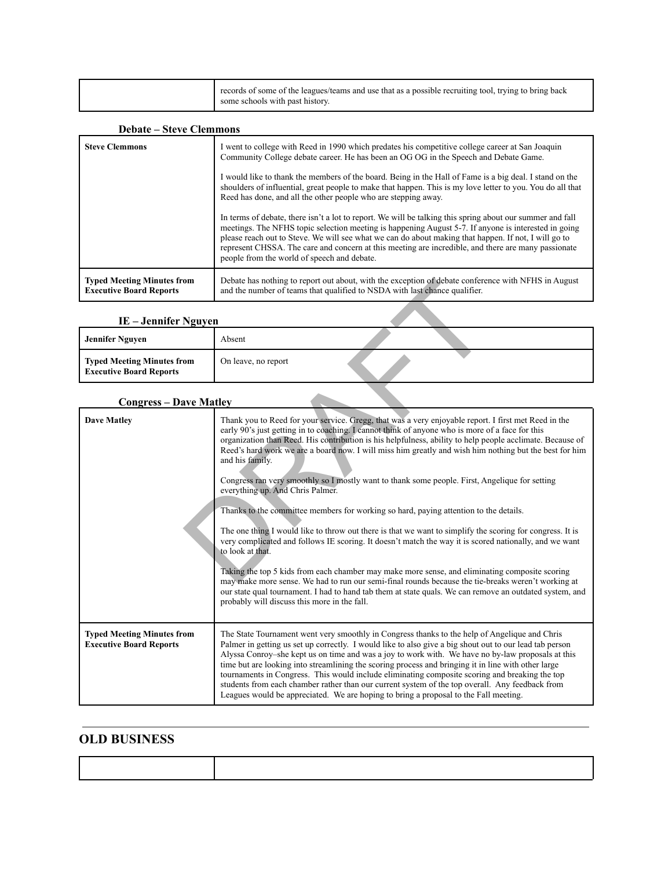|  | records of some of the leagues/teams and use that as a possible recruiting tool, trying to bring back<br>some schools with past history. |
|--|------------------------------------------------------------------------------------------------------------------------------------------|
|--|------------------------------------------------------------------------------------------------------------------------------------------|

#### **Debate – Steve Clemmons**

| <b>Steve Clemmons</b>             | I went to college with Reed in 1990 which predates his competitive college career at San Joaquin<br>Community College debate career. He has been an OG OG in the Speech and Debate Game.<br>I would like to thank the members of the board. Being in the Hall of Fame is a big deal. I stand on the<br>shoulders of influential, great people to make that happen. This is my love letter to you. You do all that<br>Reed has done, and all the other people who are stepping away.<br>In terms of debate, there isn't a lot to report. We will be talking this spring about our summer and fall<br>meetings. The NFHS topic selection meeting is happening August 5-7. If anyone is interested in going<br>please reach out to Steve. We will see what we can do about making that happen. If not, I will go to<br>represent CHSSA. The care and concern at this meeting are incredible, and there are many passionate<br>people from the world of speech and debate. |
|-----------------------------------|------------------------------------------------------------------------------------------------------------------------------------------------------------------------------------------------------------------------------------------------------------------------------------------------------------------------------------------------------------------------------------------------------------------------------------------------------------------------------------------------------------------------------------------------------------------------------------------------------------------------------------------------------------------------------------------------------------------------------------------------------------------------------------------------------------------------------------------------------------------------------------------------------------------------------------------------------------------------|
| <b>Typed Meeting Minutes from</b> | Debate has nothing to report out about, with the exception of debate conference with NFHS in August                                                                                                                                                                                                                                                                                                                                                                                                                                                                                                                                                                                                                                                                                                                                                                                                                                                                    |
| <b>Executive Board Reports</b>    | and the number of teams that qualified to NSDA with last chance qualifier.                                                                                                                                                                                                                                                                                                                                                                                                                                                                                                                                                                                                                                                                                                                                                                                                                                                                                             |

#### **IE – Jennifer Nguyen**

| Jennifer Nguyen                                              | Absent              |  |
|--------------------------------------------------------------|---------------------|--|
| Typed Meeting Minutes from<br><b>Executive Board Reports</b> | On leave, no report |  |

# **Congress – Dave Matley**

| <b>Typed Meeting Minutes from</b><br><b>Executive Board Reports</b> | Debate has nothing to report out about, with the exception of debate conference with NFHS in August<br>and the number of teams that qualified to NSDA with last chance qualifier.                                                                                                                                                                                                                                                                                                                                                                                                                                                                                                                                                                                                                                                                                                                                                                                                                                                                                                                                                                                                                                                                                                              |  |  |
|---------------------------------------------------------------------|------------------------------------------------------------------------------------------------------------------------------------------------------------------------------------------------------------------------------------------------------------------------------------------------------------------------------------------------------------------------------------------------------------------------------------------------------------------------------------------------------------------------------------------------------------------------------------------------------------------------------------------------------------------------------------------------------------------------------------------------------------------------------------------------------------------------------------------------------------------------------------------------------------------------------------------------------------------------------------------------------------------------------------------------------------------------------------------------------------------------------------------------------------------------------------------------------------------------------------------------------------------------------------------------|--|--|
| IE - Jennifer Nguyen                                                |                                                                                                                                                                                                                                                                                                                                                                                                                                                                                                                                                                                                                                                                                                                                                                                                                                                                                                                                                                                                                                                                                                                                                                                                                                                                                                |  |  |
| <b>Jennifer Nguyen</b>                                              | Absent                                                                                                                                                                                                                                                                                                                                                                                                                                                                                                                                                                                                                                                                                                                                                                                                                                                                                                                                                                                                                                                                                                                                                                                                                                                                                         |  |  |
| <b>Typed Meeting Minutes from</b><br><b>Executive Board Reports</b> | On leave, no report                                                                                                                                                                                                                                                                                                                                                                                                                                                                                                                                                                                                                                                                                                                                                                                                                                                                                                                                                                                                                                                                                                                                                                                                                                                                            |  |  |
| <b>Congress – Dave Matley</b>                                       |                                                                                                                                                                                                                                                                                                                                                                                                                                                                                                                                                                                                                                                                                                                                                                                                                                                                                                                                                                                                                                                                                                                                                                                                                                                                                                |  |  |
| <b>Dave Matley</b>                                                  | Thank you to Reed for your service. Gregg, that was a very enjoyable report. I first met Reed in the<br>early 90's just getting in to coaching. I cannot think of anyone who is more of a face for this<br>organization than Reed. His contribution is his helpfulness, ability to help people acclimate. Because of<br>Reed's hard work we are a board now. I will miss him greatly and wish him nothing but the best for him<br>and his family.<br>Congress ran very smoothly so I mostly want to thank some people. First, Angelique for setting<br>everything up. And Chris Palmer.<br>Thanks to the committee members for working so hard, paying attention to the details.<br>The one thing I would like to throw out there is that we want to simplify the scoring for congress. It is<br>very complicated and follows IE scoring. It doesn't match the way it is scored nationally, and we want<br>to look at that.<br>Taking the top 5 kids from each chamber may make more sense, and eliminating composite scoring<br>may make more sense. We had to run our semi-final rounds because the tie-breaks weren't working at<br>our state qual tournament. I had to hand tab them at state quals. We can remove an outdated system, and<br>probably will discuss this more in the fall. |  |  |
| <b>Typed Meeting Minutes from</b><br><b>Executive Board Reports</b> | The State Tournament went very smoothly in Congress thanks to the help of Angelique and Chris<br>Palmer in getting us set up correctly. I would like to also give a big shout out to our lead tab person<br>Alyssa Conroy-she kept us on time and was a joy to work with. We have no by-law proposals at this<br>time but are looking into streamlining the scoring process and bringing it in line with other large<br>tournaments in Congress. This would include eliminating composite scoring and breaking the top<br>students from each chamber rather than our current system of the top overall. Any feedback from<br>Leagues would be appreciated. We are hoping to bring a proposal to the Fall meeting.                                                                                                                                                                                                                                                                                                                                                                                                                                                                                                                                                                              |  |  |

# **OLD BUSINESS**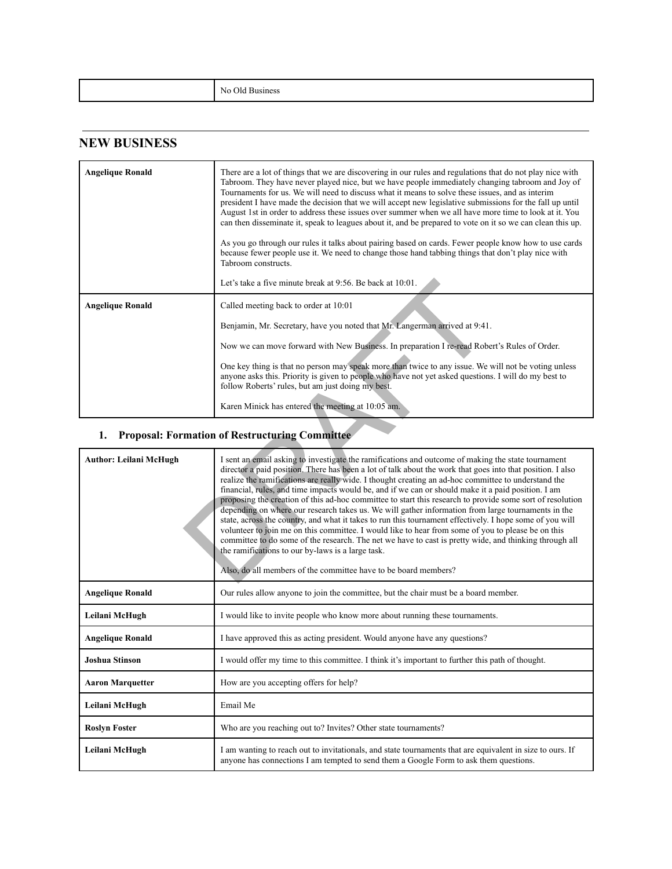|--|

### **NEW BUSINESS**

| <b>Angelique Ronald</b>       | There are a lot of things that we are discovering in our rules and regulations that do not play nice with<br>Tabroom. They have never played nice, but we have people immediately changing tabroom and Joy of<br>Tournaments for us. We will need to discuss what it means to solve these issues, and as interiments<br>president I have made the decision that we will accept new legislative submissions for the fall up until<br>August 1st in order to address these issues over summer when we all have more time to look at it. You<br>can then disseminate it, speak to leagues about it, and be prepared to vote on it so we can clean this up.<br>As you go through our rules it talks about pairing based on cards. Fewer people know how to use cards<br>because fewer people use it. We need to change those hand tabbing things that don't play nice with<br>Tabroom constructs.<br>Let's take a five minute break at 9:56. Be back at 10:01.                                                                                                                                           |
|-------------------------------|------------------------------------------------------------------------------------------------------------------------------------------------------------------------------------------------------------------------------------------------------------------------------------------------------------------------------------------------------------------------------------------------------------------------------------------------------------------------------------------------------------------------------------------------------------------------------------------------------------------------------------------------------------------------------------------------------------------------------------------------------------------------------------------------------------------------------------------------------------------------------------------------------------------------------------------------------------------------------------------------------------------------------------------------------------------------------------------------------|
| <b>Angelique Ronald</b>       | Called meeting back to order at 10:01                                                                                                                                                                                                                                                                                                                                                                                                                                                                                                                                                                                                                                                                                                                                                                                                                                                                                                                                                                                                                                                                |
|                               | Benjamin, Mr. Secretary, have you noted that Mr. Langerman arrived at 9:41.                                                                                                                                                                                                                                                                                                                                                                                                                                                                                                                                                                                                                                                                                                                                                                                                                                                                                                                                                                                                                          |
|                               | Now we can move forward with New Business. In preparation I re-read Robert's Rules of Order.                                                                                                                                                                                                                                                                                                                                                                                                                                                                                                                                                                                                                                                                                                                                                                                                                                                                                                                                                                                                         |
|                               | One key thing is that no person may speak more than twice to any issue. We will not be voting unless<br>anyone asks this. Priority is given to people who have not yet asked questions. I will do my best to<br>follow Roberts' rules, but am just doing my best.                                                                                                                                                                                                                                                                                                                                                                                                                                                                                                                                                                                                                                                                                                                                                                                                                                    |
|                               | Karen Minick has entered the meeting at 10:05 am.                                                                                                                                                                                                                                                                                                                                                                                                                                                                                                                                                                                                                                                                                                                                                                                                                                                                                                                                                                                                                                                    |
| 1.                            | <b>Proposal: Formation of Restructuring Committee</b>                                                                                                                                                                                                                                                                                                                                                                                                                                                                                                                                                                                                                                                                                                                                                                                                                                                                                                                                                                                                                                                |
| <b>Author: Leilani McHugh</b> | I sent an email asking to investigate the ramifications and outcome of making the state tournament<br>director a paid position. There has been a lot of talk about the work that goes into that position. I also<br>realize the ramifications are really wide. I thought creating an ad-hoc committee to understand the<br>financial, rules, and time impacts would be, and if we can or should make it a paid position. I am<br>proposing the creation of this ad-hoc committee to start this research to provide some sort of resolution<br>depending on where our research takes us. We will gather information from large tournaments in the<br>state, across the country, and what it takes to run this tournament effectively. I hope some of you will<br>volunteer to join me on this committee. I would like to hear from some of you to please be on this<br>committee to do some of the research. The net we have to cast is pretty wide, and thinking through all<br>the ramifications to our by-laws is a large task.<br>Also, do all members of the committee have to be board members? |
|                               |                                                                                                                                                                                                                                                                                                                                                                                                                                                                                                                                                                                                                                                                                                                                                                                                                                                                                                                                                                                                                                                                                                      |

# **1. Proposal: Formation of Restructuring Committee**

| <b>Author: Leilani McHugh</b> | I sent an email asking to investigate the ramifications and outcome of making the state tournament<br>director a paid position. There has been a lot of talk about the work that goes into that position. I also<br>realize the ramifications are really wide. I thought creating an ad-hoc committee to understand the<br>financial, rules, and time impacts would be, and if we can or should make it a paid position. I am<br>proposing the creation of this ad-hoc committee to start this research to provide some sort of resolution<br>depending on where our research takes us. We will gather information from large tournaments in the<br>state, across the country, and what it takes to run this tournament effectively. I hope some of you will<br>volunteer to join me on this committee. I would like to hear from some of you to please be on this<br>committee to do some of the research. The net we have to cast is pretty wide, and thinking through all<br>the ramifications to our by-laws is a large task.<br>Also, do all members of the committee have to be board members? |
|-------------------------------|------------------------------------------------------------------------------------------------------------------------------------------------------------------------------------------------------------------------------------------------------------------------------------------------------------------------------------------------------------------------------------------------------------------------------------------------------------------------------------------------------------------------------------------------------------------------------------------------------------------------------------------------------------------------------------------------------------------------------------------------------------------------------------------------------------------------------------------------------------------------------------------------------------------------------------------------------------------------------------------------------------------------------------------------------------------------------------------------------|
| <b>Angelique Ronald</b>       | Our rules allow anyone to join the committee, but the chair must be a board member.                                                                                                                                                                                                                                                                                                                                                                                                                                                                                                                                                                                                                                                                                                                                                                                                                                                                                                                                                                                                                  |
| Leilani McHugh                | I would like to invite people who know more about running these tournaments.                                                                                                                                                                                                                                                                                                                                                                                                                                                                                                                                                                                                                                                                                                                                                                                                                                                                                                                                                                                                                         |
| <b>Angelique Ronald</b>       | I have approved this as acting president. Would anyone have any questions?                                                                                                                                                                                                                                                                                                                                                                                                                                                                                                                                                                                                                                                                                                                                                                                                                                                                                                                                                                                                                           |
| <b>Joshua Stinson</b>         | I would offer my time to this committee. I think it's important to further this path of thought.                                                                                                                                                                                                                                                                                                                                                                                                                                                                                                                                                                                                                                                                                                                                                                                                                                                                                                                                                                                                     |
| <b>Aaron Marquetter</b>       | How are you accepting offers for help?                                                                                                                                                                                                                                                                                                                                                                                                                                                                                                                                                                                                                                                                                                                                                                                                                                                                                                                                                                                                                                                               |
| Leilani McHugh                | Email Me                                                                                                                                                                                                                                                                                                                                                                                                                                                                                                                                                                                                                                                                                                                                                                                                                                                                                                                                                                                                                                                                                             |
| <b>Roslyn Foster</b>          | Who are you reaching out to? Invites? Other state tournaments?                                                                                                                                                                                                                                                                                                                                                                                                                                                                                                                                                                                                                                                                                                                                                                                                                                                                                                                                                                                                                                       |
| Leilani McHugh                | I am wanting to reach out to invitationals, and state tournaments that are equivalent in size to ours. If<br>anyone has connections I am tempted to send them a Google Form to ask them questions.                                                                                                                                                                                                                                                                                                                                                                                                                                                                                                                                                                                                                                                                                                                                                                                                                                                                                                   |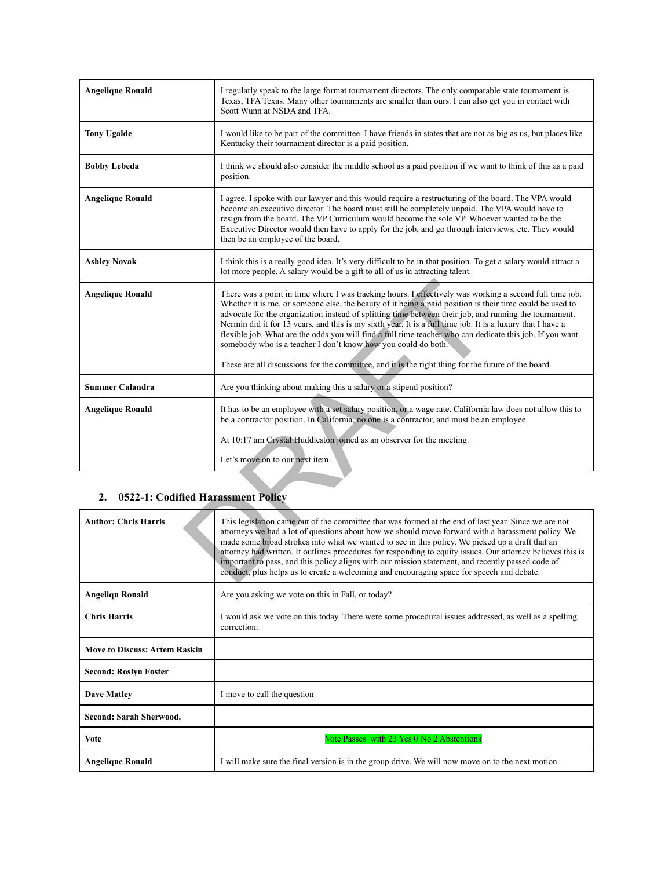| <b>Angelique Ronald</b>                  | I regularly speak to the large format tournament directors. The only comparable state tournament is<br>Texas, TFA Texas. Many other tournaments are smaller than ours. I can also get you in contact with<br>Scott Wunn at NSDA and TFA.                                                                                                                                                                                                                                                                                                                                                                                                                                                                                        |
|------------------------------------------|---------------------------------------------------------------------------------------------------------------------------------------------------------------------------------------------------------------------------------------------------------------------------------------------------------------------------------------------------------------------------------------------------------------------------------------------------------------------------------------------------------------------------------------------------------------------------------------------------------------------------------------------------------------------------------------------------------------------------------|
| <b>Tony Ugalde</b>                       | I would like to be part of the committee. I have friends in states that are not as big as us, but places like<br>Kentucky their tournament director is a paid position.                                                                                                                                                                                                                                                                                                                                                                                                                                                                                                                                                         |
| <b>Bobby Lebeda</b>                      | I think we should also consider the middle school as a paid position if we want to think of this as a paid<br>position.                                                                                                                                                                                                                                                                                                                                                                                                                                                                                                                                                                                                         |
| <b>Angelique Ronald</b>                  | I agree. I spoke with our lawyer and this would require a restructuring of the board. The VPA would<br>become an executive director. The board must still be completely unpaid. The VPA would have to<br>resign from the board. The VP Curriculum would become the sole VP. Whoever wanted to be the<br>Executive Director would then have to apply for the job, and go through interviews, etc. They would<br>then be an employee of the board.                                                                                                                                                                                                                                                                                |
| <b>Ashley Novak</b>                      | I think this is a really good idea. It's very difficult to be in that position. To get a salary would attract a<br>lot more people. A salary would be a gift to all of us in attracting talent.                                                                                                                                                                                                                                                                                                                                                                                                                                                                                                                                 |
| <b>Angelique Ronald</b>                  | There was a point in time where I was tracking hours. I effectively was working a second full time job.<br>Whether it is me, or someone else, the beauty of it being a paid position is their time could be used to<br>advocate for the organization instead of splitting time between their job, and running the tournament.<br>Nermin did it for 13 years, and this is my sixth year. It is a full time job. It is a luxury that I have a<br>flexible job. What are the odds you will find a full time teacher who can dedicate this job. If you want<br>somebody who is a teacher I don't know how you could do both.<br>These are all discussions for the committee, and it is the right thing for the future of the board. |
| <b>Summer Calandra</b>                   | Are you thinking about making this a salary or a stipend position?                                                                                                                                                                                                                                                                                                                                                                                                                                                                                                                                                                                                                                                              |
| <b>Angelique Ronald</b>                  | It has to be an employee with a set salary position, or a wage rate. California law does not allow this to<br>be a contractor position. In California, no one is a contractor, and must be an employee.<br>At 10:17 am Crystal Huddleston joined as an observer for the meeting.<br>Let's move on to our next item.                                                                                                                                                                                                                                                                                                                                                                                                             |
|                                          |                                                                                                                                                                                                                                                                                                                                                                                                                                                                                                                                                                                                                                                                                                                                 |
| 0522-1: Codified Harassment Policy<br>2. |                                                                                                                                                                                                                                                                                                                                                                                                                                                                                                                                                                                                                                                                                                                                 |
| <b>Author: Chris Harris</b>              | This legislation came out of the committee that was formed at the end of last year. Since we are not<br>attorneys we had a lot of questions about how we should move forward with a harassment policy. We<br>made some broad strokes into what we wanted to see in this policy. We picked up a draft that an<br>attorney had written. It outlines procedures for responding to equity issues. Our attorney believes this is<br>important to pass, and this policy aligns with our mission statement, and recently passed code of<br>conduct, plus helps us to create a welcoming and encouraging space for speech and debate.                                                                                                   |

#### **2. 0522-1: Codified Harassment Policy**

| <b>Author: Chris Harris</b>          | This legislation came out of the committee that was formed at the end of last year. Since we are not<br>attorneys we had a lot of questions about how we should move forward with a harassment policy. We<br>made some broad strokes into what we wanted to see in this policy. We picked up a draft that an<br>attorney had written. It outlines procedures for responding to equity issues. Our attorney believes this is<br>important to pass, and this policy aligns with our mission statement, and recently passed code of<br>conduct, plus helps us to create a welcoming and encouraging space for speech and debate. |
|--------------------------------------|-------------------------------------------------------------------------------------------------------------------------------------------------------------------------------------------------------------------------------------------------------------------------------------------------------------------------------------------------------------------------------------------------------------------------------------------------------------------------------------------------------------------------------------------------------------------------------------------------------------------------------|
| <b>Angeliqu Ronald</b>               | Are you asking we vote on this in Fall, or today?                                                                                                                                                                                                                                                                                                                                                                                                                                                                                                                                                                             |
| <b>Chris Harris</b>                  | I would ask we vote on this today. There were some procedural issues addressed, as well as a spelling<br>correction.                                                                                                                                                                                                                                                                                                                                                                                                                                                                                                          |
| <b>Move to Discuss: Artem Raskin</b> |                                                                                                                                                                                                                                                                                                                                                                                                                                                                                                                                                                                                                               |
| <b>Second: Roslyn Foster</b>         |                                                                                                                                                                                                                                                                                                                                                                                                                                                                                                                                                                                                                               |
| <b>Dave Matley</b>                   | I move to call the question                                                                                                                                                                                                                                                                                                                                                                                                                                                                                                                                                                                                   |
| Second: Sarah Sherwood.              |                                                                                                                                                                                                                                                                                                                                                                                                                                                                                                                                                                                                                               |
| <b>Vote</b>                          | Vote Passes with 23 Yes 0 No 2 Abstentions                                                                                                                                                                                                                                                                                                                                                                                                                                                                                                                                                                                    |
| <b>Angelique Ronald</b>              | I will make sure the final version is in the group drive. We will now move on to the next motion.                                                                                                                                                                                                                                                                                                                                                                                                                                                                                                                             |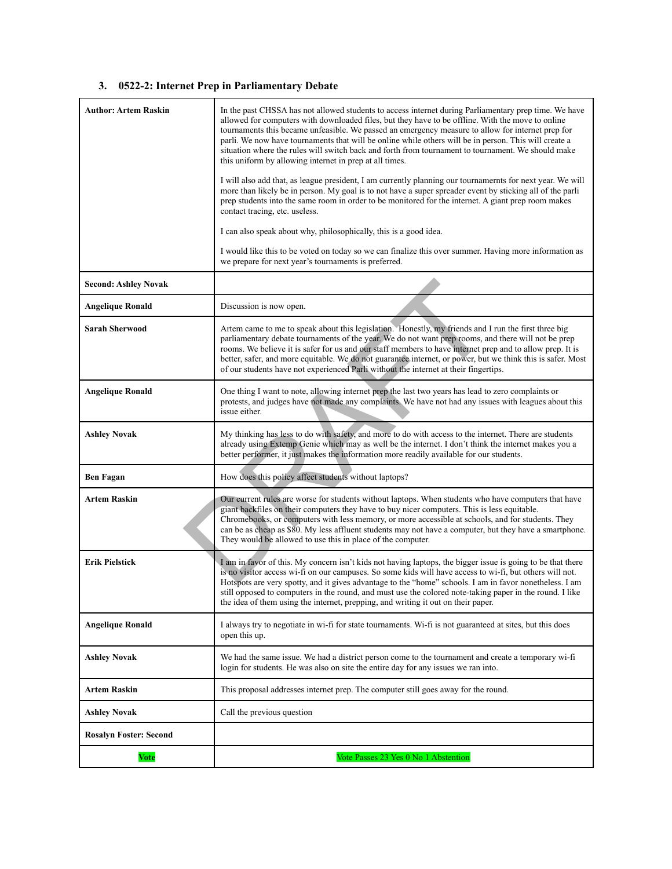#### **3. 0522-2: Internet Prep in Parliamentary Debate**

| <b>Author: Artem Raskin</b>   | In the past CHSSA has not allowed students to access internet during Parliamentary prep time. We have<br>allowed for computers with downloaded files, but they have to be offline. With the move to online<br>tournaments this became unfeasible. We passed an emergency measure to allow for internet prep for<br>parli. We now have tournaments that will be online while others will be in person. This will create a<br>situation where the rules will switch back and forth from tournament to tournament. We should make<br>this uniform by allowing internet in prep at all times.<br>I will also add that, as league president, I am currently planning our tournamernts for next year. We will<br>more than likely be in person. My goal is to not have a super spreader event by sticking all of the parli<br>prep students into the same room in order to be monitored for the internet. A giant prep room makes<br>contact tracing, etc. useless.<br>I can also speak about why, philosophically, this is a good idea. |
|-------------------------------|------------------------------------------------------------------------------------------------------------------------------------------------------------------------------------------------------------------------------------------------------------------------------------------------------------------------------------------------------------------------------------------------------------------------------------------------------------------------------------------------------------------------------------------------------------------------------------------------------------------------------------------------------------------------------------------------------------------------------------------------------------------------------------------------------------------------------------------------------------------------------------------------------------------------------------------------------------------------------------------------------------------------------------|
|                               | I would like this to be voted on today so we can finalize this over summer. Having more information as<br>we prepare for next year's tournaments is preferred.                                                                                                                                                                                                                                                                                                                                                                                                                                                                                                                                                                                                                                                                                                                                                                                                                                                                     |
| <b>Second: Ashley Novak</b>   |                                                                                                                                                                                                                                                                                                                                                                                                                                                                                                                                                                                                                                                                                                                                                                                                                                                                                                                                                                                                                                    |
| <b>Angelique Ronald</b>       | Discussion is now open.                                                                                                                                                                                                                                                                                                                                                                                                                                                                                                                                                                                                                                                                                                                                                                                                                                                                                                                                                                                                            |
| <b>Sarah Sherwood</b>         | Artem came to me to speak about this legislation. Honestly, my friends and I run the first three big<br>parliamentary debate tournaments of the year. We do not want prep rooms, and there will not be prep<br>rooms. We believe it is safer for us and our staff members to have internet prep and to allow prep. It is<br>better, safer, and more equitable. We do not guarantee internet, or power, but we think this is safer. Most<br>of our students have not experienced Parli without the internet at their fingertips.                                                                                                                                                                                                                                                                                                                                                                                                                                                                                                    |
| <b>Angelique Ronald</b>       | One thing I want to note, allowing internet prep the last two years has lead to zero complaints or<br>protests, and judges have not made any complaints. We have not had any issues with leagues about this<br>issue either.                                                                                                                                                                                                                                                                                                                                                                                                                                                                                                                                                                                                                                                                                                                                                                                                       |
| <b>Ashley Novak</b>           | My thinking has less to do with safety, and more to do with access to the internet. There are students<br>already using Extemp Genie which may as well be the internet. I don't think the internet makes you a<br>better performer, it just makes the information more readily available for our students.                                                                                                                                                                                                                                                                                                                                                                                                                                                                                                                                                                                                                                                                                                                         |
| <b>Ben Fagan</b>              | How does this policy affect students without laptops?                                                                                                                                                                                                                                                                                                                                                                                                                                                                                                                                                                                                                                                                                                                                                                                                                                                                                                                                                                              |
| Artem Raskin                  | Our current rules are worse for students without laptops. When students who have computers that have<br>giant backfiles on their computers they have to buy nicer computers. This is less equitable.<br>Chromebooks, or computers with less memory, or more accessible at schools, and for students. They<br>can be as cheap as \$80. My less affluent students may not have a computer, but they have a smartphone.<br>They would be allowed to use this in place of the computer.                                                                                                                                                                                                                                                                                                                                                                                                                                                                                                                                                |
| <b>Erik Pielstick</b>         | I am in favor of this. My concern isn't kids not having laptops, the bigger issue is going to be that there<br>is no visitor access wi-fi on our campuses. So some kids will have access to wi-fi, but others will not.<br>Hotspots are very spotty, and it gives advantage to the "home" schools. I am in favor nonetheless. I am<br>still opposed to computers in the round, and must use the colored note-taking paper in the round. I like<br>the idea of them using the internet, prepping, and writing it out on their paper.                                                                                                                                                                                                                                                                                                                                                                                                                                                                                                |
| <b>Angelique Ronald</b>       | I always try to negotiate in wi-fi for state tournaments. Wi-fi is not guaranteed at sites, but this does<br>open this up.                                                                                                                                                                                                                                                                                                                                                                                                                                                                                                                                                                                                                                                                                                                                                                                                                                                                                                         |
| <b>Ashley Novak</b>           | We had the same issue. We had a district person come to the tournament and create a temporary wi-fi<br>login for students. He was also on site the entire day for any issues we ran into.                                                                                                                                                                                                                                                                                                                                                                                                                                                                                                                                                                                                                                                                                                                                                                                                                                          |
| <b>Artem Raskin</b>           | This proposal addresses internet prep. The computer still goes away for the round.                                                                                                                                                                                                                                                                                                                                                                                                                                                                                                                                                                                                                                                                                                                                                                                                                                                                                                                                                 |
| <b>Ashley Novak</b>           | Call the previous question                                                                                                                                                                                                                                                                                                                                                                                                                                                                                                                                                                                                                                                                                                                                                                                                                                                                                                                                                                                                         |
| <b>Rosalyn Foster: Second</b> |                                                                                                                                                                                                                                                                                                                                                                                                                                                                                                                                                                                                                                                                                                                                                                                                                                                                                                                                                                                                                                    |
| <b>Vote</b>                   | Vote Passes 23 Yes 0 No 1 Abstention                                                                                                                                                                                                                                                                                                                                                                                                                                                                                                                                                                                                                                                                                                                                                                                                                                                                                                                                                                                               |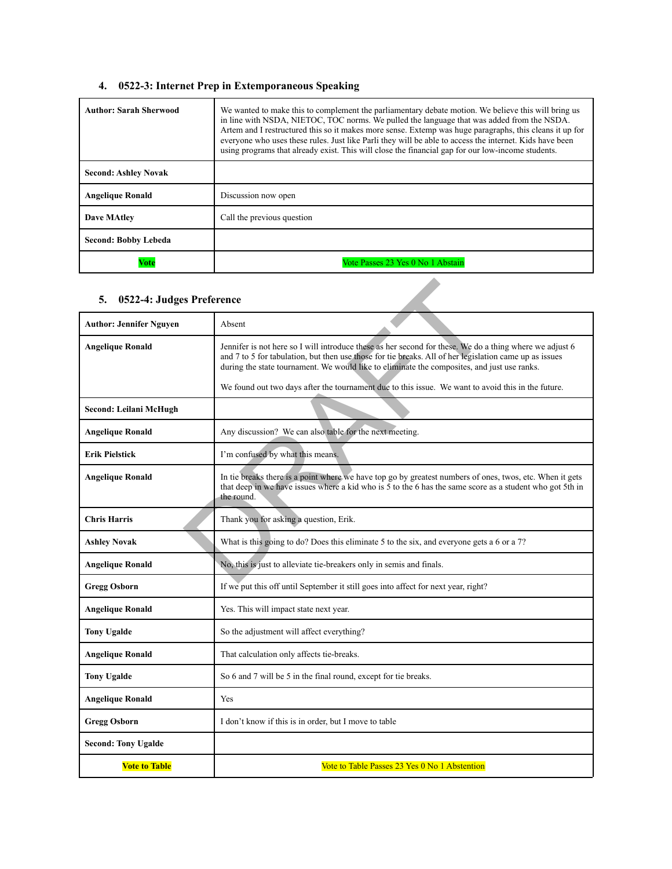#### **4. 0522-3: Internet Prep in Extemporaneous Speaking**

| <b>Author: Sarah Sherwood</b> | We wanted to make this to complement the parliamentary debate motion. We believe this will bring us<br>in line with NSDA, NIETOC, TOC norms. We pulled the language that was added from the NSDA.<br>Artem and I restructured this so it makes more sense. Extemp was huge paragraphs, this cleans it up for<br>everyone who uses these rules. Just like Parli they will be able to access the internet. Kids have been<br>using programs that already exist. This will close the financial gap for our low-income students. |
|-------------------------------|------------------------------------------------------------------------------------------------------------------------------------------------------------------------------------------------------------------------------------------------------------------------------------------------------------------------------------------------------------------------------------------------------------------------------------------------------------------------------------------------------------------------------|
| <b>Second: Ashley Novak</b>   |                                                                                                                                                                                                                                                                                                                                                                                                                                                                                                                              |
| <b>Angelique Ronald</b>       | Discussion now open                                                                                                                                                                                                                                                                                                                                                                                                                                                                                                          |
| <b>Dave MAtley</b>            | Call the previous question                                                                                                                                                                                                                                                                                                                                                                                                                                                                                                   |
| Second: Bobby Lebeda          |                                                                                                                                                                                                                                                                                                                                                                                                                                                                                                                              |
| Vote                          | Vote Passes 23 Yes 0 No 1 Abstain                                                                                                                                                                                                                                                                                                                                                                                                                                                                                            |

#### **5. 0522-4: Judges Preference**

| 5.<br>0522-4: Judges Preference |                                                                                                                                                                                                                                                                                                                  |
|---------------------------------|------------------------------------------------------------------------------------------------------------------------------------------------------------------------------------------------------------------------------------------------------------------------------------------------------------------|
| <b>Author: Jennifer Nguyen</b>  | Absent                                                                                                                                                                                                                                                                                                           |
| <b>Angelique Ronald</b>         | Jennifer is not here so I will introduce these as her second for these. We do a thing where we adjust 6<br>and 7 to 5 for tabulation, but then use those for tie breaks. All of her legislation came up as issues<br>during the state tournament. We would like to eliminate the composites, and just use ranks. |
|                                 | We found out two days after the tournament due to this issue. We want to avoid this in the future.                                                                                                                                                                                                               |
| Second: Leilani McHugh          |                                                                                                                                                                                                                                                                                                                  |
| <b>Angelique Ronald</b>         | Any discussion? We can also table for the next meeting.                                                                                                                                                                                                                                                          |
| <b>Erik Pielstick</b>           | I'm confused by what this means.                                                                                                                                                                                                                                                                                 |
| <b>Angelique Ronald</b>         | In tie breaks there is a point where we have top go by greatest numbers of ones, twos, etc. When it gets<br>that deep in we have issues where a kid who is 5 to the 6 has the same score as a student who got 5th in<br>the round.                                                                               |
| <b>Chris Harris</b>             | Thank you for asking a question, Erik.                                                                                                                                                                                                                                                                           |
| <b>Ashley Novak</b>             | What is this going to do? Does this eliminate 5 to the six, and everyone gets a 6 or a 7?                                                                                                                                                                                                                        |
| <b>Angelique Ronald</b>         | No, this is just to alleviate tie-breakers only in semis and finals.                                                                                                                                                                                                                                             |
| <b>Gregg Osborn</b>             | If we put this off until September it still goes into affect for next year, right?                                                                                                                                                                                                                               |
| <b>Angelique Ronald</b>         | Yes. This will impact state next year.                                                                                                                                                                                                                                                                           |
| <b>Tony Ugalde</b>              | So the adjustment will affect everything?                                                                                                                                                                                                                                                                        |
| <b>Angelique Ronald</b>         | That calculation only affects tie-breaks.                                                                                                                                                                                                                                                                        |
| <b>Tony Ugalde</b>              | So 6 and 7 will be 5 in the final round, except for tie breaks.                                                                                                                                                                                                                                                  |
| <b>Angelique Ronald</b>         | Yes                                                                                                                                                                                                                                                                                                              |
| <b>Gregg Osborn</b>             | I don't know if this is in order, but I move to table                                                                                                                                                                                                                                                            |
| <b>Second: Tony Ugalde</b>      |                                                                                                                                                                                                                                                                                                                  |
| <b>Vote to Table</b>            | Vote to Table Passes 23 Yes 0 No 1 Abstention                                                                                                                                                                                                                                                                    |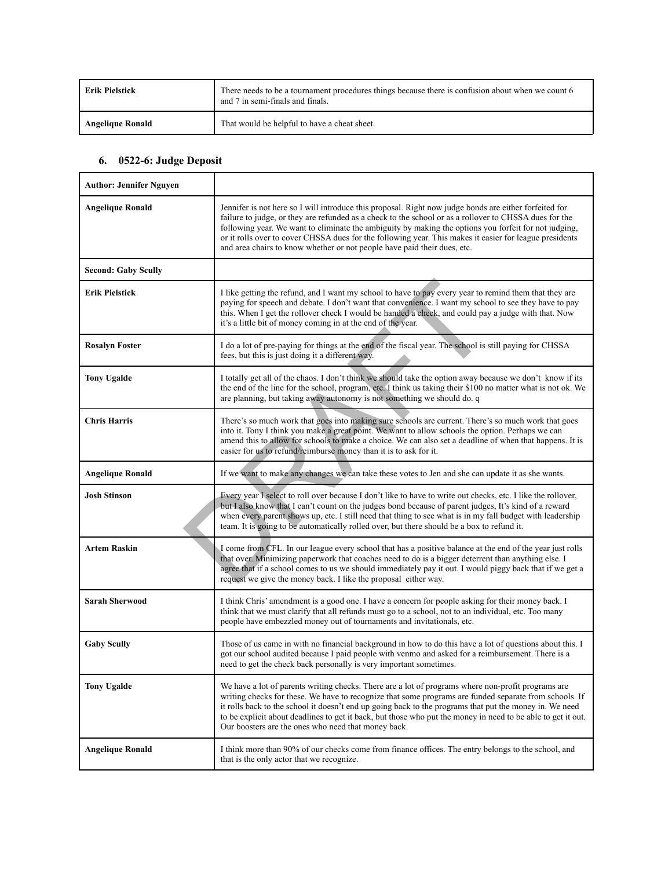| <b>Erik Pielstick</b>   | There needs to be a tournament procedures things because there is confusion about when we count 6<br>and 7 in semi-finals and finals. |
|-------------------------|---------------------------------------------------------------------------------------------------------------------------------------|
| <b>Angelique Ronald</b> | That would be helpful to have a cheat sheet.                                                                                          |

#### **6. 0522-6: Judge Deposit**

| <b>Author: Jennifer Nguyen</b> |                                                                                                                                                                                                                                                                                                                                                                                                                                                                                                                  |
|--------------------------------|------------------------------------------------------------------------------------------------------------------------------------------------------------------------------------------------------------------------------------------------------------------------------------------------------------------------------------------------------------------------------------------------------------------------------------------------------------------------------------------------------------------|
| <b>Angelique Ronald</b>        | Jennifer is not here so I will introduce this proposal. Right now judge bonds are either forfeited for<br>failure to judge, or they are refunded as a check to the school or as a rollover to CHSSA dues for the<br>following year. We want to eliminate the ambiguity by making the options you forfeit for not judging,<br>or it rolls over to cover CHSSA dues for the following year. This makes it easier for league presidents<br>and area chairs to know whether or not people have paid their dues, etc. |
| <b>Second: Gaby Scully</b>     |                                                                                                                                                                                                                                                                                                                                                                                                                                                                                                                  |
| Erik Pielstick                 | I like getting the refund, and I want my school to have to pay every year to remind them that they are<br>paying for speech and debate. I don't want that convenience. I want my school to see they have to pay<br>this. When I get the rollover check I would be handed a check, and could pay a judge with that. Now<br>it's a little bit of money coming in at the end of the year.                                                                                                                           |
| <b>Rosalyn Foster</b>          | I do a lot of pre-paying for things at the end of the fiscal year. The school is still paying for CHSSA<br>fees, but this is just doing it a different way.                                                                                                                                                                                                                                                                                                                                                      |
| <b>Tony Ugalde</b>             | I totally get all of the chaos. I don't think we should take the option away because we don't know if its<br>the end of the line for the school, program, etc. I think us taking their \$100 no matter what is not ok. We<br>are planning, but taking away autonomy is not something we should do. q                                                                                                                                                                                                             |
| <b>Chris Harris</b>            | There's so much work that goes into making sure schools are current. There's so much work that goes<br>into it. Tony I think you make a great point. We want to allow schools the option. Perhaps we can<br>amend this to allow for schools to make a choice. We can also set a deadline of when that happens. It is<br>easier for us to refund/reimburse money than it is to ask for it.                                                                                                                        |
| <b>Angelique Ronald</b>        | If we want to make any changes we can take these votes to Jen and she can update it as she wants.                                                                                                                                                                                                                                                                                                                                                                                                                |
| Josh Stinson                   | Every year I select to roll over because I don't like to have to write out checks, etc. I like the rollover,<br>but I also know that I can't count on the judges bond because of parent judges, It's kind of a reward<br>when every parent shows up, etc. I still need that thing to see what is in my fall budget with leadership<br>team. It is going to be automatically rolled over, but there should be a box to refund it.                                                                                 |
| Artem Raskin                   | I come from CFL. In our league every school that has a positive balance at the end of the year just rolls<br>that over. Minimizing paperwork that coaches need to do is a bigger deterrent than anything else. I<br>agree that if a school comes to us we should immediately pay it out. I would piggy back that if we get a<br>request we give the money back. I like the proposal either way.                                                                                                                  |
| <b>Sarah Sherwood</b>          | I think Chris' amendment is a good one. I have a concern for people asking for their money back. I<br>think that we must clarify that all refunds must go to a school, not to an individual, etc. Too many<br>people have embezzled money out of tournaments and invitationals, etc.                                                                                                                                                                                                                             |
| <b>Gaby Scully</b>             | Those of us came in with no financial background in how to do this have a lot of questions about this. I<br>got our school audited because I paid people with venmo and asked for a reimbursement. There is a<br>need to get the check back personally is very important sometimes.                                                                                                                                                                                                                              |
| <b>Tony Ugalde</b>             | We have a lot of parents writing checks. There are a lot of programs where non-profit programs are<br>writing checks for these. We have to recognize that some programs are funded separate from schools. If<br>it rolls back to the school it doesn't end up going back to the programs that put the money in. We need<br>to be explicit about deadlines to get it back, but those who put the money in need to be able to get it out.<br>Our boosters are the ones who need that money back.                   |
| <b>Angelique Ronald</b>        | I think more than 90% of our checks come from finance offices. The entry belongs to the school, and<br>that is the only actor that we recognize.                                                                                                                                                                                                                                                                                                                                                                 |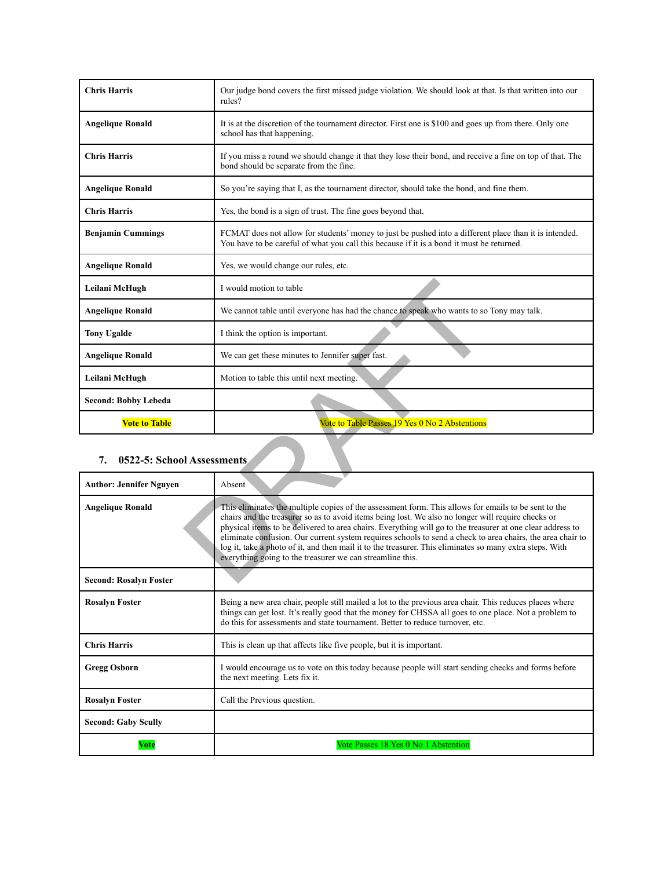| <b>Chris Harris</b>              | Our judge bond covers the first missed judge violation. We should look at that. Is that written into our<br>rules?                                                                                                                                                                                                                                                                                                                                                                                                                                                                                              |  |
|----------------------------------|-----------------------------------------------------------------------------------------------------------------------------------------------------------------------------------------------------------------------------------------------------------------------------------------------------------------------------------------------------------------------------------------------------------------------------------------------------------------------------------------------------------------------------------------------------------------------------------------------------------------|--|
| <b>Angelique Ronald</b>          | It is at the discretion of the tournament director. First one is \$100 and goes up from there. Only one<br>school has that happening.                                                                                                                                                                                                                                                                                                                                                                                                                                                                           |  |
| <b>Chris Harris</b>              | If you miss a round we should change it that they lose their bond, and receive a fine on top of that. The<br>bond should be separate from the fine.                                                                                                                                                                                                                                                                                                                                                                                                                                                             |  |
| <b>Angelique Ronald</b>          | So you're saying that I, as the tournament director, should take the bond, and fine them.                                                                                                                                                                                                                                                                                                                                                                                                                                                                                                                       |  |
| <b>Chris Harris</b>              | Yes, the bond is a sign of trust. The fine goes beyond that.                                                                                                                                                                                                                                                                                                                                                                                                                                                                                                                                                    |  |
| <b>Benjamin Cummings</b>         | FCMAT does not allow for students' money to just be pushed into a different place than it is intended.<br>You have to be careful of what you call this because if it is a bond it must be returned.                                                                                                                                                                                                                                                                                                                                                                                                             |  |
| <b>Angelique Ronald</b>          | Yes, we would change our rules, etc.                                                                                                                                                                                                                                                                                                                                                                                                                                                                                                                                                                            |  |
| Leilani McHugh                   | I would motion to table                                                                                                                                                                                                                                                                                                                                                                                                                                                                                                                                                                                         |  |
| <b>Angelique Ronald</b>          | We cannot table until everyone has had the chance to speak who wants to so Tony may talk.                                                                                                                                                                                                                                                                                                                                                                                                                                                                                                                       |  |
| <b>Tony Ugalde</b>               | I think the option is important.                                                                                                                                                                                                                                                                                                                                                                                                                                                                                                                                                                                |  |
| <b>Angelique Ronald</b>          | We can get these minutes to Jennifer super fast.                                                                                                                                                                                                                                                                                                                                                                                                                                                                                                                                                                |  |
| Leilani McHugh                   | Motion to table this until next meeting.                                                                                                                                                                                                                                                                                                                                                                                                                                                                                                                                                                        |  |
| <b>Second: Bobby Lebeda</b>      |                                                                                                                                                                                                                                                                                                                                                                                                                                                                                                                                                                                                                 |  |
| <b>Vote to Table</b>             | Vote to Table Passes 19 Yes 0 No 2 Abstentions                                                                                                                                                                                                                                                                                                                                                                                                                                                                                                                                                                  |  |
| 0522-5: School Assessments<br>7. |                                                                                                                                                                                                                                                                                                                                                                                                                                                                                                                                                                                                                 |  |
| <b>Author: Jennifer Nguyen</b>   | Absent                                                                                                                                                                                                                                                                                                                                                                                                                                                                                                                                                                                                          |  |
| <b>Angelique Ronald</b>          | This eliminates the multiple copies of the assessment form. This allows for emails to be sent to the<br>chairs and the treasurer so as to avoid items being lost. We also no longer will require checks or<br>physical items to be delivered to area chairs. Everything will go to the treasurer at one clear address to<br>eliminate confusion. Our current system requires schools to send a check to area chairs, the area chair to<br>log it, take a photo of it, and then mail it to the treasurer. This eliminates so many extra steps. With<br>everything going to the treasurer we can streamline this. |  |
| <b>Second: Rosalvn Foster</b>    |                                                                                                                                                                                                                                                                                                                                                                                                                                                                                                                                                                                                                 |  |

# **7. 0522-5: School Assessments**

| <b>Author: Jennifer Nguyen</b> | Absent                                                                                                                                                                                                                                                                                                                                                                                                                                                                                                                                                                                                          |
|--------------------------------|-----------------------------------------------------------------------------------------------------------------------------------------------------------------------------------------------------------------------------------------------------------------------------------------------------------------------------------------------------------------------------------------------------------------------------------------------------------------------------------------------------------------------------------------------------------------------------------------------------------------|
| <b>Angelique Ronald</b>        | This eliminates the multiple copies of the assessment form. This allows for emails to be sent to the<br>chairs and the treasurer so as to avoid items being lost. We also no longer will require checks or<br>physical items to be delivered to area chairs. Everything will go to the treasurer at one clear address to<br>eliminate confusion. Our current system requires schools to send a check to area chairs, the area chair to<br>log it, take a photo of it, and then mail it to the treasurer. This eliminates so many extra steps. With<br>everything going to the treasurer we can streamline this. |
| <b>Second: Rosalyn Foster</b>  |                                                                                                                                                                                                                                                                                                                                                                                                                                                                                                                                                                                                                 |
| <b>Rosalyn Foster</b>          | Being a new area chair, people still mailed a lot to the previous area chair. This reduces places where<br>things can get lost. It's really good that the money for CHSSA all goes to one place. Not a problem to<br>do this for assessments and state tournament. Better to reduce turnover, etc.                                                                                                                                                                                                                                                                                                              |
| <b>Chris Harris</b>            | This is clean up that affects like five people, but it is important.                                                                                                                                                                                                                                                                                                                                                                                                                                                                                                                                            |
| <b>Gregg Osborn</b>            | I would encourage us to vote on this today because people will start sending checks and forms before<br>the next meeting. Lets fix it.                                                                                                                                                                                                                                                                                                                                                                                                                                                                          |
| <b>Rosalyn Foster</b>          | Call the Previous question.                                                                                                                                                                                                                                                                                                                                                                                                                                                                                                                                                                                     |
| <b>Second: Gaby Scully</b>     |                                                                                                                                                                                                                                                                                                                                                                                                                                                                                                                                                                                                                 |
| Vote                           | Vote Passes 18 Yes 0 No 1 Abstention                                                                                                                                                                                                                                                                                                                                                                                                                                                                                                                                                                            |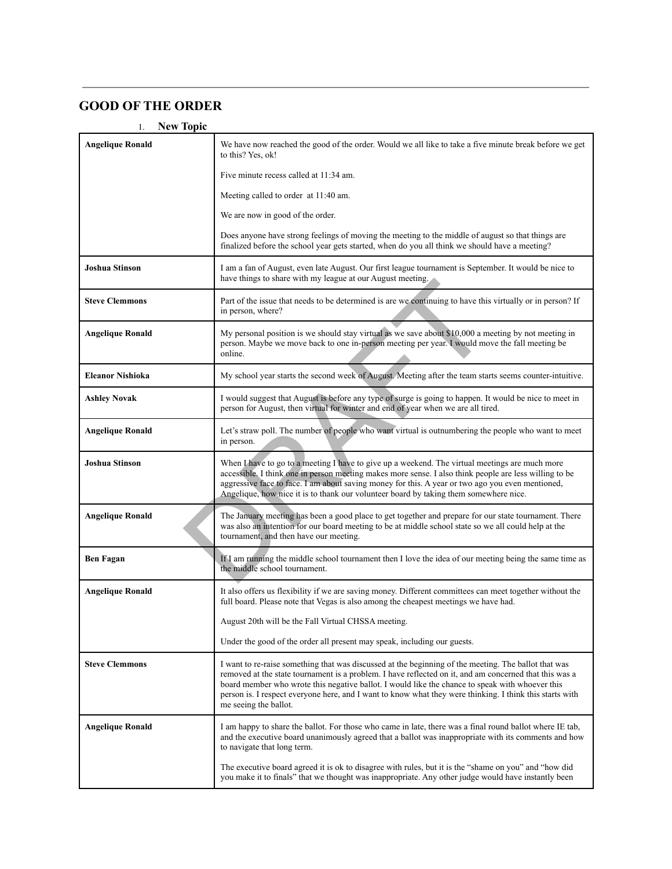# **GOOD OF THE ORDER**

#### 1. **New Topic**

| <b>Angelique Ronald</b> | We have now reached the good of the order. Would we all like to take a five minute break before we get<br>to this? Yes, ok!                                                                                                                                                                                                                                                                                                                            |
|-------------------------|--------------------------------------------------------------------------------------------------------------------------------------------------------------------------------------------------------------------------------------------------------------------------------------------------------------------------------------------------------------------------------------------------------------------------------------------------------|
|                         | Five minute recess called at 11:34 am.                                                                                                                                                                                                                                                                                                                                                                                                                 |
|                         | Meeting called to order at 11:40 am.                                                                                                                                                                                                                                                                                                                                                                                                                   |
|                         | We are now in good of the order.                                                                                                                                                                                                                                                                                                                                                                                                                       |
|                         | Does anyone have strong feelings of moving the meeting to the middle of august so that things are<br>finalized before the school year gets started, when do you all think we should have a meeting?                                                                                                                                                                                                                                                    |
| <b>Joshua Stinson</b>   | I am a fan of August, even late August. Our first league tournament is September. It would be nice to<br>have things to share with my league at our August meeting.                                                                                                                                                                                                                                                                                    |
| <b>Steve Clemmons</b>   | Part of the issue that needs to be determined is are we continuing to have this virtually or in person? If<br>in person, where?                                                                                                                                                                                                                                                                                                                        |
| <b>Angelique Ronald</b> | My personal position is we should stay virtual as we save about \$10,000 a meeting by not meeting in<br>person. Maybe we move back to one in-person meeting per year. I would move the fall meeting be<br>online.                                                                                                                                                                                                                                      |
| <b>Eleanor Nishioka</b> | My school year starts the second week of August. Meeting after the team starts seems counter-intuitive.                                                                                                                                                                                                                                                                                                                                                |
| <b>Ashley Novak</b>     | I would suggest that August is before any type of surge is going to happen. It would be nice to meet in<br>person for August, then virtual for winter and end of year when we are all tired.                                                                                                                                                                                                                                                           |
| <b>Angelique Ronald</b> | Let's straw poll. The number of people who want virtual is outnumbering the people who want to meet<br>in person.                                                                                                                                                                                                                                                                                                                                      |
| <b>Joshua Stinson</b>   | When I have to go to a meeting I have to give up a weekend. The virtual meetings are much more<br>accessible. I think one in person meeting makes more sense. I also think people are less willing to be<br>aggressive face to face. I am about saving money for this. A year or two ago you even mentioned,<br>Angelique, how nice it is to thank our volunteer board by taking them somewhere nice.                                                  |
| <b>Angelique Ronald</b> | The January meeting has been a good place to get together and prepare for our state tournament. There<br>was also an intention for our board meeting to be at middle school state so we all could help at the<br>tournament, and then have our meeting.                                                                                                                                                                                                |
| <b>Ben Fagan</b>        | If I am running the middle school tournament then I love the idea of our meeting being the same time as<br>the middle school tournament.                                                                                                                                                                                                                                                                                                               |
| <b>Angelique Ronald</b> | It also offers us flexibility if we are saving money. Different committees can meet together without the<br>full board. Please note that Vegas is also among the cheapest meetings we have had.                                                                                                                                                                                                                                                        |
|                         | August 20th will be the Fall Virtual CHSSA meeting.                                                                                                                                                                                                                                                                                                                                                                                                    |
|                         | Under the good of the order all present may speak, including our guests.                                                                                                                                                                                                                                                                                                                                                                               |
| <b>Steve Clemmons</b>   | I want to re-raise something that was discussed at the beginning of the meeting. The ballot that was<br>removed at the state tournament is a problem. I have reflected on it, and am concerned that this was a<br>board member who wrote this negative ballot. I would like the chance to speak with whoever this<br>person is. I respect everyone here, and I want to know what they were thinking. I think this starts with<br>me seeing the ballot. |
| <b>Angelique Ronald</b> | I am happy to share the ballot. For those who came in late, there was a final round ballot where IE tab,<br>and the executive board unanimously agreed that a ballot was inappropriate with its comments and how<br>to navigate that long term.                                                                                                                                                                                                        |
|                         | The executive board agreed it is ok to disagree with rules, but it is the "shame on you" and "how did<br>you make it to finals" that we thought was inappropriate. Any other judge would have instantly been                                                                                                                                                                                                                                           |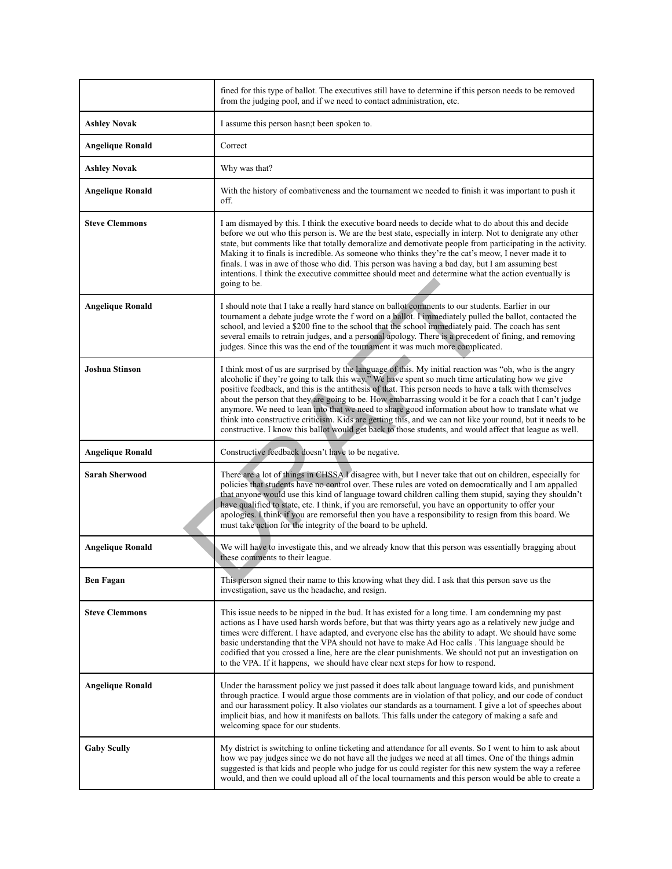|                         | fined for this type of ballot. The executives still have to determine if this person needs to be removed<br>from the judging pool, and if we need to contact administration, etc.                                                                                                                                                                                                                                                                                                                                                                                                                                                                                                                                                                                     |
|-------------------------|-----------------------------------------------------------------------------------------------------------------------------------------------------------------------------------------------------------------------------------------------------------------------------------------------------------------------------------------------------------------------------------------------------------------------------------------------------------------------------------------------------------------------------------------------------------------------------------------------------------------------------------------------------------------------------------------------------------------------------------------------------------------------|
| <b>Ashley Novak</b>     | I assume this person hasn; t been spoken to.                                                                                                                                                                                                                                                                                                                                                                                                                                                                                                                                                                                                                                                                                                                          |
| <b>Angelique Ronald</b> | Correct                                                                                                                                                                                                                                                                                                                                                                                                                                                                                                                                                                                                                                                                                                                                                               |
| <b>Ashley Novak</b>     | Why was that?                                                                                                                                                                                                                                                                                                                                                                                                                                                                                                                                                                                                                                                                                                                                                         |
| <b>Angelique Ronald</b> | With the history of combativeness and the tournament we needed to finish it was important to push it<br>off.                                                                                                                                                                                                                                                                                                                                                                                                                                                                                                                                                                                                                                                          |
| <b>Steve Clemmons</b>   | I am dismayed by this. I think the executive board needs to decide what to do about this and decide<br>before we out who this person is. We are the best state, especially in interp. Not to denigrate any other<br>state, but comments like that totally demoralize and demotivate people from participating in the activity.<br>Making it to finals is incredible. As someone who thinks they're the cat's meow, I never made it to<br>finals. I was in awe of those who did. This person was having a bad day, but I am assuming best<br>intentions. I think the executive committee should meet and determine what the action eventually is<br>going to be.                                                                                                       |
| <b>Angelique Ronald</b> | I should note that I take a really hard stance on ballot comments to our students. Earlier in our<br>tournament a debate judge wrote the f word on a ballot. I immediately pulled the ballot, contacted the<br>school, and levied a \$200 fine to the school that the school immediately paid. The coach has sent<br>several emails to retrain judges, and a personal apology. There is a precedent of fining, and removing<br>judges. Since this was the end of the tournament it was much more complicated.                                                                                                                                                                                                                                                         |
| <b>Joshua Stinson</b>   | I think most of us are surprised by the language of this. My initial reaction was "oh, who is the angry<br>alcoholic if they're going to talk this way." We have spent so much time articulating how we give<br>positive feedback, and this is the antithesis of that. This person needs to have a talk with themselves<br>about the person that they are going to be. How embarrassing would it be for a coach that I can't judge<br>anymore. We need to lean into that we need to share good information about how to translate what we<br>think into constructive criticism. Kids are getting this, and we can not like your round, but it needs to be<br>constructive. I know this ballot would get back to those students, and would affect that league as well. |
| <b>Angelique Ronald</b> | Constructive feedback doesn't have to be negative.                                                                                                                                                                                                                                                                                                                                                                                                                                                                                                                                                                                                                                                                                                                    |
| <b>Sarah Sherwood</b>   | There are a lot of things in CHSSA I disagree with, but I never take that out on children, especially for<br>policies that students have no control over. These rules are voted on democratically and I am appalled<br>that anyone would use this kind of language toward children calling them stupid, saying they shouldn't<br>have qualified to state, etc. I think, if you are remorseful, you have an opportunity to offer your<br>apologies. I think if you are remorseful then you have a responsibility to resign from this board. We<br>must take action for the integrity of the board to be upheld.                                                                                                                                                        |
| <b>Angelique Ronald</b> | We will have to investigate this, and we already know that this person was essentially bragging about<br>these comments to their league.                                                                                                                                                                                                                                                                                                                                                                                                                                                                                                                                                                                                                              |
| <b>Ben Fagan</b>        | This person signed their name to this knowing what they did. I ask that this person save us the<br>investigation, save us the headache, and resign.                                                                                                                                                                                                                                                                                                                                                                                                                                                                                                                                                                                                                   |
| <b>Steve Clemmons</b>   | This issue needs to be nipped in the bud. It has existed for a long time. I am condemning my past<br>actions as I have used harsh words before, but that was thirty years ago as a relatively new judge and<br>times were different. I have adapted, and everyone else has the ability to adapt. We should have some<br>basic understanding that the VPA should not have to make Ad Hoc calls. This language should be<br>codified that you crossed a line, here are the clear punishments. We should not put an investigation on<br>to the VPA. If it happens, we should have clear next steps for how to respond.                                                                                                                                                   |
| Angelique Ronald        | Under the harassment policy we just passed it does talk about language toward kids, and punishment<br>through practice. I would argue those comments are in violation of that policy, and our code of conduct<br>and our harassment policy. It also violates our standards as a tournament. I give a lot of speeches about<br>implicit bias, and how it manifests on ballots. This falls under the category of making a safe and<br>welcoming space for our students.                                                                                                                                                                                                                                                                                                 |
| <b>Gaby Scully</b>      | My district is switching to online ticketing and attendance for all events. So I went to him to ask about<br>how we pay judges since we do not have all the judges we need at all times. One of the things admin<br>suggested is that kids and people who judge for us could register for this new system the way a referee<br>would, and then we could upload all of the local tournaments and this person would be able to create a                                                                                                                                                                                                                                                                                                                                 |